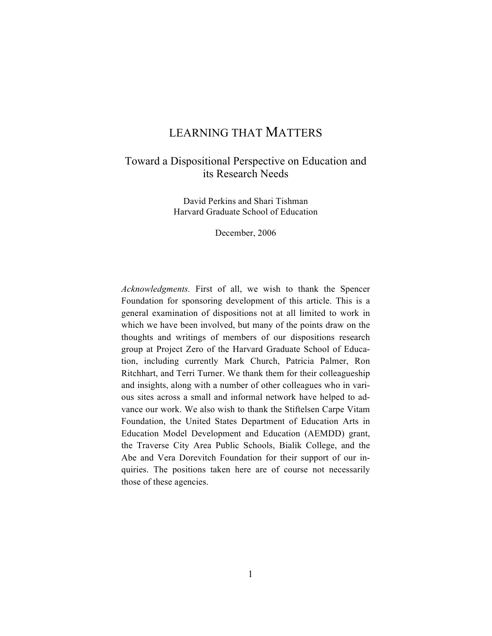# LEARNING THAT MATTERS

## Toward a Dispositional Perspective on Education and its Research Needs

David Perkins and Shari Tishman Harvard Graduate School of Education

December, 2006

*Acknowledgments.* First of all, we wish to thank the Spencer Foundation for sponsoring development of this article. This is a general examination of dispositions not at all limited to work in which we have been involved, but many of the points draw on the thoughts and writings of members of our dispositions research group at Project Zero of the Harvard Graduate School of Education, including currently Mark Church, Patricia Palmer, Ron Ritchhart, and Terri Turner. We thank them for their colleagueship and insights, along with a number of other colleagues who in various sites across a small and informal network have helped to advance our work. We also wish to thank the Stiftelsen Carpe Vitam Foundation, the United States Department of Education Arts in Education Model Development and Education (AEMDD) grant, the Traverse City Area Public Schools, Bialik College, and the Abe and Vera Dorevitch Foundation for their support of our inquiries. The positions taken here are of course not necessarily those of these agencies.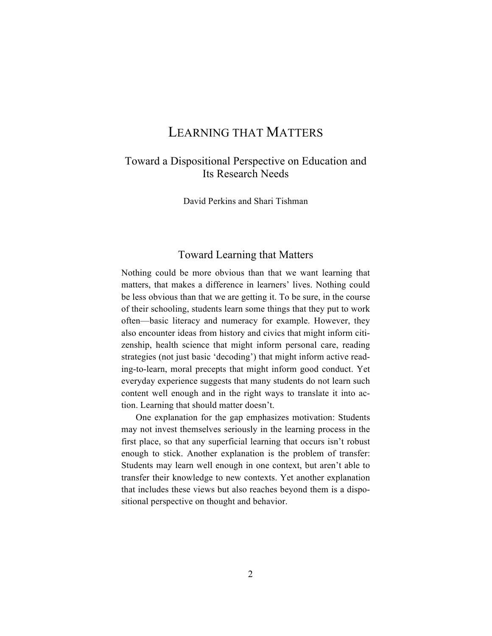# LEARNING THAT MATTERS

## Toward a Dispositional Perspective on Education and Its Research Needs

David Perkins and Shari Tishman

### Toward Learning that Matters

Nothing could be more obvious than that we want learning that matters, that makes a difference in learners' lives. Nothing could be less obvious than that we are getting it. To be sure, in the course of their schooling, students learn some things that they put to work often—basic literacy and numeracy for example. However, they also encounter ideas from history and civics that might inform citizenship, health science that might inform personal care, reading strategies (not just basic 'decoding') that might inform active reading-to-learn, moral precepts that might inform good conduct. Yet everyday experience suggests that many students do not learn such content well enough and in the right ways to translate it into action. Learning that should matter doesn't.

One explanation for the gap emphasizes motivation: Students may not invest themselves seriously in the learning process in the first place, so that any superficial learning that occurs isn't robust enough to stick. Another explanation is the problem of transfer: Students may learn well enough in one context, but aren't able to transfer their knowledge to new contexts. Yet another explanation that includes these views but also reaches beyond them is a dispositional perspective on thought and behavior.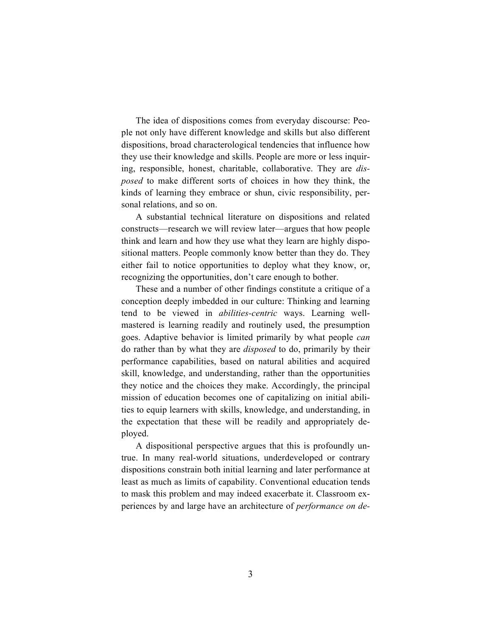The idea of dispositions comes from everyday discourse: People not only have different knowledge and skills but also different dispositions, broad characterological tendencies that influence how they use their knowledge and skills. People are more or less inquiring, responsible, honest, charitable, collaborative. They are *disposed* to make different sorts of choices in how they think, the kinds of learning they embrace or shun, civic responsibility, personal relations, and so on.

A substantial technical literature on dispositions and related constructs—research we will review later—argues that how people think and learn and how they use what they learn are highly dispositional matters. People commonly know better than they do. They either fail to notice opportunities to deploy what they know, or, recognizing the opportunities, don't care enough to bother.

These and a number of other findings constitute a critique of a conception deeply imbedded in our culture: Thinking and learning tend to be viewed in *abilities-centric* ways. Learning wellmastered is learning readily and routinely used, the presumption goes. Adaptive behavior is limited primarily by what people *can*  do rather than by what they are *disposed* to do, primarily by their performance capabilities, based on natural abilities and acquired skill, knowledge, and understanding, rather than the opportunities they notice and the choices they make. Accordingly, the principal mission of education becomes one of capitalizing on initial abilities to equip learners with skills, knowledge, and understanding, in the expectation that these will be readily and appropriately deployed.

A dispositional perspective argues that this is profoundly untrue. In many real-world situations, underdeveloped or contrary dispositions constrain both initial learning and later performance at least as much as limits of capability. Conventional education tends to mask this problem and may indeed exacerbate it. Classroom experiences by and large have an architecture of *performance on de-*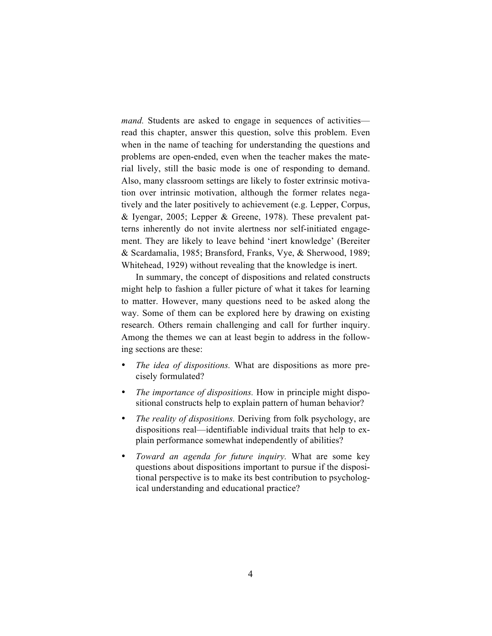*mand.* Students are asked to engage in sequences of activities read this chapter, answer this question, solve this problem. Even when in the name of teaching for understanding the questions and problems are open-ended, even when the teacher makes the material lively, still the basic mode is one of responding to demand. Also, many classroom settings are likely to foster extrinsic motivation over intrinsic motivation, although the former relates negatively and the later positively to achievement (e.g. Lepper, Corpus, & Iyengar, 2005; Lepper & Greene, 1978). These prevalent patterns inherently do not invite alertness nor self-initiated engagement. They are likely to leave behind 'inert knowledge' (Bereiter & Scardamalia, 1985; Bransford, Franks, Vye, & Sherwood, 1989; Whitehead, 1929) without revealing that the knowledge is inert.

In summary, the concept of dispositions and related constructs might help to fashion a fuller picture of what it takes for learning to matter. However, many questions need to be asked along the way. Some of them can be explored here by drawing on existing research. Others remain challenging and call for further inquiry. Among the themes we can at least begin to address in the following sections are these:

- The idea of dispositions. What are dispositions as more precisely formulated?
- *The importance of dispositions.* How in principle might dispositional constructs help to explain pattern of human behavior?
- *The reality of dispositions.* Deriving from folk psychology, are dispositions real—identifiable individual traits that help to explain performance somewhat independently of abilities?
- *Toward an agenda for future inquiry.* What are some key questions about dispositions important to pursue if the dispositional perspective is to make its best contribution to psychological understanding and educational practice?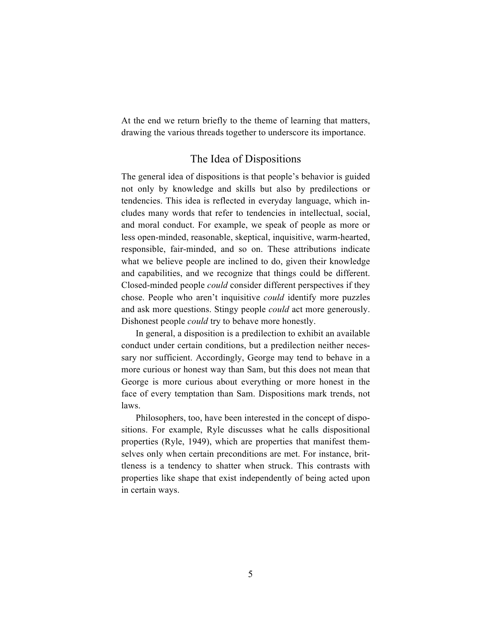At the end we return briefly to the theme of learning that matters, drawing the various threads together to underscore its importance.

### The Idea of Dispositions

The general idea of dispositions is that people's behavior is guided not only by knowledge and skills but also by predilections or tendencies. This idea is reflected in everyday language, which includes many words that refer to tendencies in intellectual, social, and moral conduct. For example, we speak of people as more or less open-minded, reasonable, skeptical, inquisitive, warm-hearted, responsible, fair-minded, and so on. These attributions indicate what we believe people are inclined to do, given their knowledge and capabilities, and we recognize that things could be different. Closed-minded people *could* consider different perspectives if they chose. People who aren't inquisitive *could* identify more puzzles and ask more questions. Stingy people *could* act more generously. Dishonest people *could* try to behave more honestly.

In general, a disposition is a predilection to exhibit an available conduct under certain conditions, but a predilection neither necessary nor sufficient. Accordingly, George may tend to behave in a more curious or honest way than Sam, but this does not mean that George is more curious about everything or more honest in the face of every temptation than Sam. Dispositions mark trends, not laws.

Philosophers, too, have been interested in the concept of dispositions. For example, Ryle discusses what he calls dispositional properties (Ryle, 1949), which are properties that manifest themselves only when certain preconditions are met. For instance, brittleness is a tendency to shatter when struck. This contrasts with properties like shape that exist independently of being acted upon in certain ways.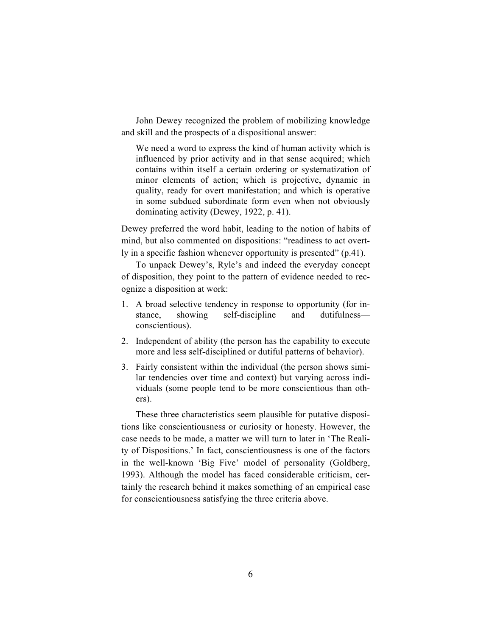John Dewey recognized the problem of mobilizing knowledge and skill and the prospects of a dispositional answer:

We need a word to express the kind of human activity which is influenced by prior activity and in that sense acquired; which contains within itself a certain ordering or systematization of minor elements of action; which is projective, dynamic in quality, ready for overt manifestation; and which is operative in some subdued subordinate form even when not obviously dominating activity (Dewey, 1922, p. 41).

Dewey preferred the word habit, leading to the notion of habits of mind, but also commented on dispositions: "readiness to act overtly in a specific fashion whenever opportunity is presented" (p.41).

To unpack Dewey's, Ryle's and indeed the everyday concept of disposition, they point to the pattern of evidence needed to recognize a disposition at work:

- 1. A broad selective tendency in response to opportunity (for instance, showing self-discipline and dutifulness conscientious).
- 2. Independent of ability (the person has the capability to execute more and less self-disciplined or dutiful patterns of behavior).
- 3. Fairly consistent within the individual (the person shows similar tendencies over time and context) but varying across individuals (some people tend to be more conscientious than others).

These three characteristics seem plausible for putative dispositions like conscientiousness or curiosity or honesty. However, the case needs to be made, a matter we will turn to later in 'The Reality of Dispositions.' In fact, conscientiousness is one of the factors in the well-known 'Big Five' model of personality (Goldberg, 1993). Although the model has faced considerable criticism, certainly the research behind it makes something of an empirical case for conscientiousness satisfying the three criteria above.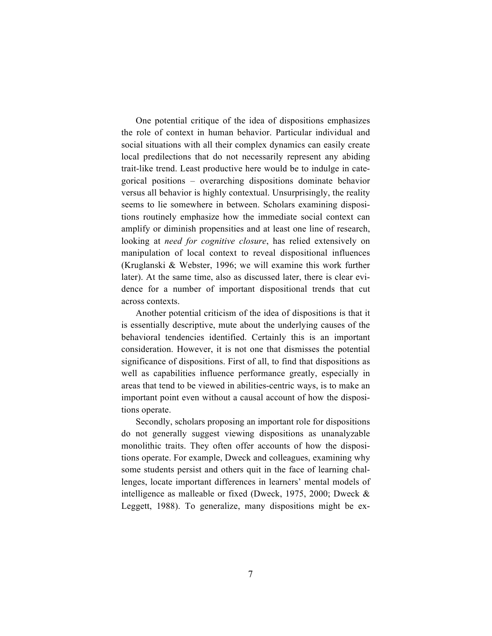One potential critique of the idea of dispositions emphasizes the role of context in human behavior. Particular individual and social situations with all their complex dynamics can easily create local predilections that do not necessarily represent any abiding trait-like trend. Least productive here would be to indulge in categorical positions – overarching dispositions dominate behavior versus all behavior is highly contextual. Unsurprisingly, the reality seems to lie somewhere in between. Scholars examining dispositions routinely emphasize how the immediate social context can amplify or diminish propensities and at least one line of research, looking at *need for cognitive closure*, has relied extensively on manipulation of local context to reveal dispositional influences (Kruglanski & Webster, 1996; we will examine this work further later). At the same time, also as discussed later, there is clear evidence for a number of important dispositional trends that cut across contexts.

Another potential criticism of the idea of dispositions is that it is essentially descriptive, mute about the underlying causes of the behavioral tendencies identified. Certainly this is an important consideration. However, it is not one that dismisses the potential significance of dispositions. First of all, to find that dispositions as well as capabilities influence performance greatly, especially in areas that tend to be viewed in abilities-centric ways, is to make an important point even without a causal account of how the dispositions operate.

Secondly, scholars proposing an important role for dispositions do not generally suggest viewing dispositions as unanalyzable monolithic traits. They often offer accounts of how the dispositions operate. For example, Dweck and colleagues, examining why some students persist and others quit in the face of learning challenges, locate important differences in learners' mental models of intelligence as malleable or fixed (Dweck, 1975, 2000; Dweck & Leggett, 1988). To generalize, many dispositions might be ex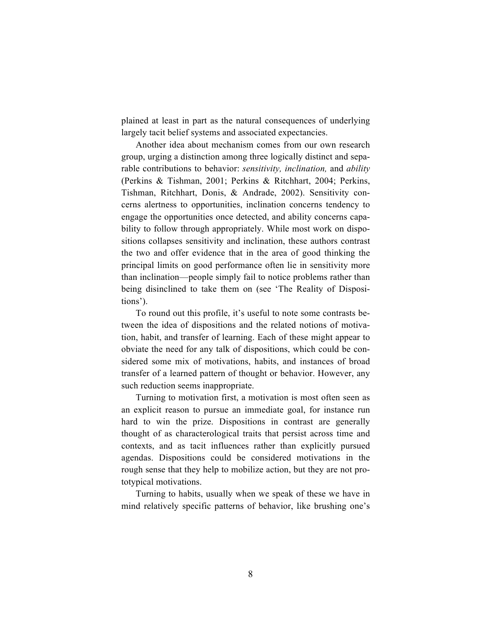plained at least in part as the natural consequences of underlying largely tacit belief systems and associated expectancies.

Another idea about mechanism comes from our own research group, urging a distinction among three logically distinct and separable contributions to behavior: *sensitivity, inclination,* and *ability* (Perkins & Tishman, 2001; Perkins & Ritchhart, 2004; Perkins, Tishman, Ritchhart, Donis, & Andrade, 2002). Sensitivity concerns alertness to opportunities, inclination concerns tendency to engage the opportunities once detected, and ability concerns capability to follow through appropriately. While most work on dispositions collapses sensitivity and inclination, these authors contrast the two and offer evidence that in the area of good thinking the principal limits on good performance often lie in sensitivity more than inclination—people simply fail to notice problems rather than being disinclined to take them on (see 'The Reality of Dispositions').

To round out this profile, it's useful to note some contrasts between the idea of dispositions and the related notions of motivation, habit, and transfer of learning. Each of these might appear to obviate the need for any talk of dispositions, which could be considered some mix of motivations, habits, and instances of broad transfer of a learned pattern of thought or behavior. However, any such reduction seems inappropriate.

Turning to motivation first, a motivation is most often seen as an explicit reason to pursue an immediate goal, for instance run hard to win the prize. Dispositions in contrast are generally thought of as characterological traits that persist across time and contexts, and as tacit influences rather than explicitly pursued agendas. Dispositions could be considered motivations in the rough sense that they help to mobilize action, but they are not prototypical motivations.

Turning to habits, usually when we speak of these we have in mind relatively specific patterns of behavior, like brushing one's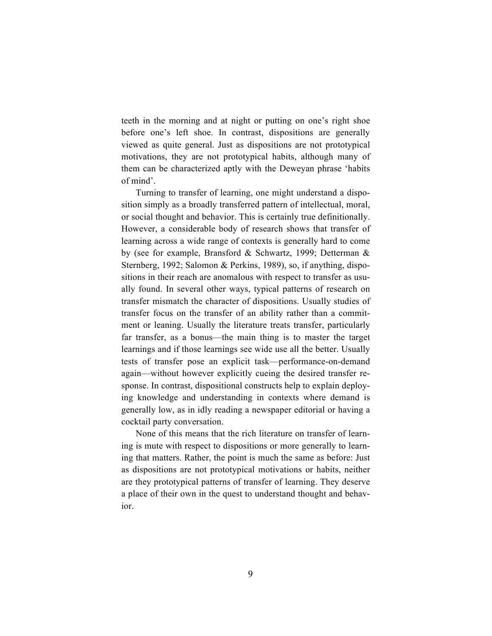teeth in the morning and at night or putting on one's right shoe before one's left shoe. In contrast, dispositions are generally viewed as quite general. Just as dispositions are not prototypical motivations, they are not prototypical habits, although many of them can be characterized aptly with the Deweyan phrase 'habits of mind'.

Turning to transfer of learning, one might understand a disposition simply as a broadly transferred pattern of intellectual, moral, or social thought and behavior. This is certainly true definitionally. However, a considerable body of research shows that transfer of learning across a wide range of contexts is generally hard to come by (see for example, Bransford & Schwartz, 1999; Detterman & Sternberg, 1992; Salomon & Perkins, 1989), so, if anything, dispositions in their reach are anomalous with respect to transfer as usually found. In several other ways, typical patterns of research on transfer mismatch the character of dispositions. Usually studies of transfer focus on the transfer of an ability rather than a commitment or leaning. Usually the literature treats transfer, particularly far transfer, as a bonus—the main thing is to master the target learnings and if those learnings see wide use all the better. Usually tests of transfer pose an explicit task—performance-on-demand again—without however explicitly cueing the desired transfer response. In contrast, dispositional constructs help to explain deploying knowledge and understanding in contexts where demand is generally low, as in idly reading a newspaper editorial or having a cocktail party conversation.

None of this means that the rich literature on transfer of learning is mute with respect to dispositions or more generally to learning that matters. Rather, the point is much the same as before: Just as dispositions are not prototypical motivations or habits, neither are they prototypical patterns of transfer of learning. They deserve a place of their own in the quest to understand thought and behavior.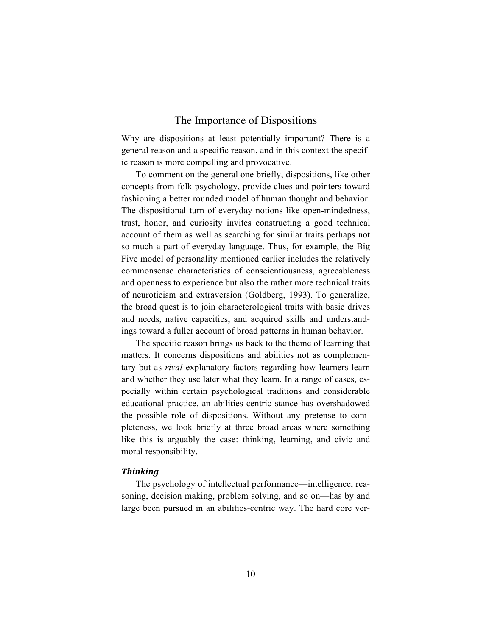## The Importance of Dispositions

Why are dispositions at least potentially important? There is a general reason and a specific reason, and in this context the specific reason is more compelling and provocative.

To comment on the general one briefly, dispositions, like other concepts from folk psychology, provide clues and pointers toward fashioning a better rounded model of human thought and behavior. The dispositional turn of everyday notions like open-mindedness, trust, honor, and curiosity invites constructing a good technical account of them as well as searching for similar traits perhaps not so much a part of everyday language. Thus, for example, the Big Five model of personality mentioned earlier includes the relatively commonsense characteristics of conscientiousness, agreeableness and openness to experience but also the rather more technical traits of neuroticism and extraversion (Goldberg, 1993). To generalize, the broad quest is to join characterological traits with basic drives and needs, native capacities, and acquired skills and understandings toward a fuller account of broad patterns in human behavior.

The specific reason brings us back to the theme of learning that matters. It concerns dispositions and abilities not as complementary but as *rival* explanatory factors regarding how learners learn and whether they use later what they learn. In a range of cases, especially within certain psychological traditions and considerable educational practice, an abilities-centric stance has overshadowed the possible role of dispositions. Without any pretense to completeness, we look briefly at three broad areas where something like this is arguably the case: thinking, learning, and civic and moral responsibility.

#### *Thinking*

The psychology of intellectual performance—intelligence, reasoning, decision making, problem solving, and so on—has by and large been pursued in an abilities-centric way. The hard core ver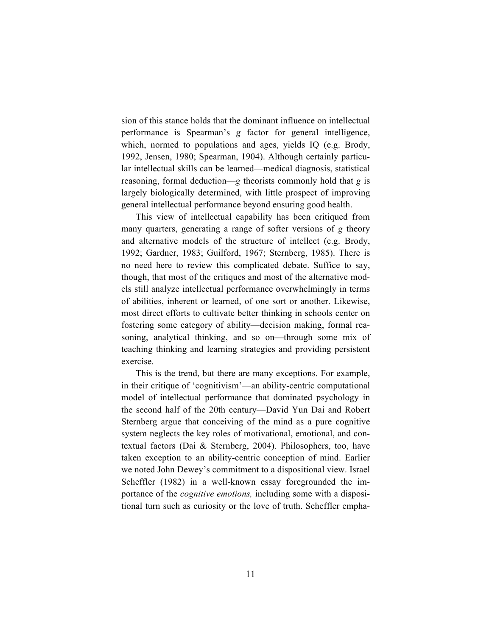sion of this stance holds that the dominant influence on intellectual performance is Spearman's *g* factor for general intelligence, which, normed to populations and ages, yields IQ (e.g. Brody, 1992, Jensen, 1980; Spearman, 1904). Although certainly particular intellectual skills can be learned—medical diagnosis, statistical reasoning, formal deduction—*g* theorists commonly hold that *g* is largely biologically determined, with little prospect of improving general intellectual performance beyond ensuring good health.

This view of intellectual capability has been critiqued from many quarters, generating a range of softer versions of *g* theory and alternative models of the structure of intellect (e.g. Brody, 1992; Gardner, 1983; Guilford, 1967; Sternberg, 1985). There is no need here to review this complicated debate. Suffice to say, though, that most of the critiques and most of the alternative models still analyze intellectual performance overwhelmingly in terms of abilities, inherent or learned, of one sort or another. Likewise, most direct efforts to cultivate better thinking in schools center on fostering some category of ability—decision making, formal reasoning, analytical thinking, and so on—through some mix of teaching thinking and learning strategies and providing persistent exercise.

This is the trend, but there are many exceptions. For example, in their critique of 'cognitivism'—an ability-centric computational model of intellectual performance that dominated psychology in the second half of the 20th century—David Yun Dai and Robert Sternberg argue that conceiving of the mind as a pure cognitive system neglects the key roles of motivational, emotional, and contextual factors (Dai & Sternberg, 2004). Philosophers, too, have taken exception to an ability-centric conception of mind. Earlier we noted John Dewey's commitment to a dispositional view. Israel Scheffler (1982) in a well-known essay foregrounded the importance of the *cognitive emotions,* including some with a dispositional turn such as curiosity or the love of truth. Scheffler empha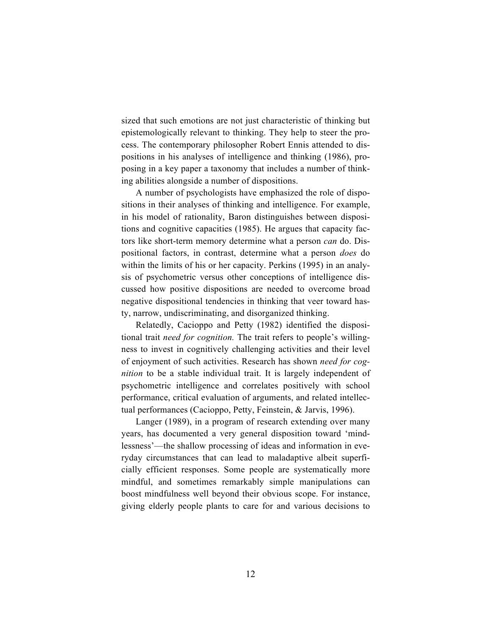sized that such emotions are not just characteristic of thinking but epistemologically relevant to thinking. They help to steer the process. The contemporary philosopher Robert Ennis attended to dispositions in his analyses of intelligence and thinking (1986), proposing in a key paper a taxonomy that includes a number of thinking abilities alongside a number of dispositions.

A number of psychologists have emphasized the role of dispositions in their analyses of thinking and intelligence. For example, in his model of rationality, Baron distinguishes between dispositions and cognitive capacities (1985). He argues that capacity factors like short-term memory determine what a person *can* do. Dispositional factors, in contrast, determine what a person *does* do within the limits of his or her capacity. Perkins (1995) in an analysis of psychometric versus other conceptions of intelligence discussed how positive dispositions are needed to overcome broad negative dispositional tendencies in thinking that veer toward hasty, narrow, undiscriminating, and disorganized thinking.

Relatedly, Cacioppo and Petty (1982) identified the dispositional trait *need for cognition.* The trait refers to people's willingness to invest in cognitively challenging activities and their level of enjoyment of such activities. Research has shown *need for cognition* to be a stable individual trait. It is largely independent of psychometric intelligence and correlates positively with school performance, critical evaluation of arguments, and related intellectual performances (Cacioppo, Petty, Feinstein, & Jarvis, 1996).

Langer (1989), in a program of research extending over many years, has documented a very general disposition toward 'mindlessness'—the shallow processing of ideas and information in everyday circumstances that can lead to maladaptive albeit superficially efficient responses. Some people are systematically more mindful, and sometimes remarkably simple manipulations can boost mindfulness well beyond their obvious scope. For instance, giving elderly people plants to care for and various decisions to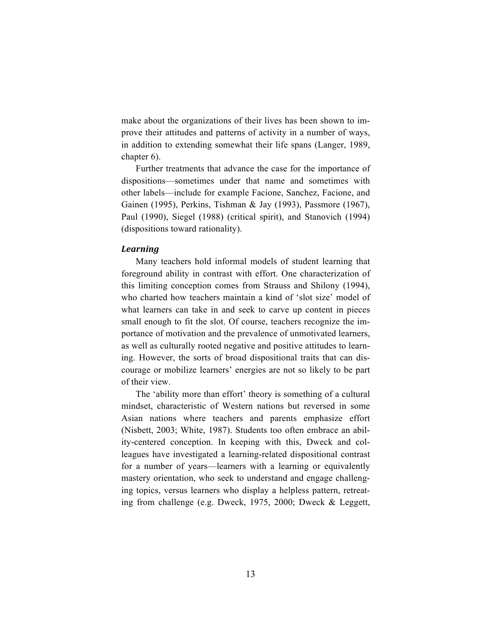make about the organizations of their lives has been shown to improve their attitudes and patterns of activity in a number of ways, in addition to extending somewhat their life spans (Langer, 1989, chapter 6).

Further treatments that advance the case for the importance of dispositions—sometimes under that name and sometimes with other labels—include for example Facione, Sanchez, Facione, and Gainen (1995), Perkins, Tishman & Jay (1993), Passmore (1967), Paul (1990), Siegel (1988) (critical spirit), and Stanovich (1994) (dispositions toward rationality).

#### *Learning*

Many teachers hold informal models of student learning that foreground ability in contrast with effort. One characterization of this limiting conception comes from Strauss and Shilony (1994), who charted how teachers maintain a kind of 'slot size' model of what learners can take in and seek to carve up content in pieces small enough to fit the slot. Of course, teachers recognize the importance of motivation and the prevalence of unmotivated learners, as well as culturally rooted negative and positive attitudes to learning. However, the sorts of broad dispositional traits that can discourage or mobilize learners' energies are not so likely to be part of their view.

The 'ability more than effort' theory is something of a cultural mindset, characteristic of Western nations but reversed in some Asian nations where teachers and parents emphasize effort (Nisbett, 2003; White, 1987). Students too often embrace an ability-centered conception. In keeping with this, Dweck and colleagues have investigated a learning-related dispositional contrast for a number of years—learners with a learning or equivalently mastery orientation, who seek to understand and engage challenging topics, versus learners who display a helpless pattern, retreating from challenge (e.g. Dweck, 1975, 2000; Dweck & Leggett,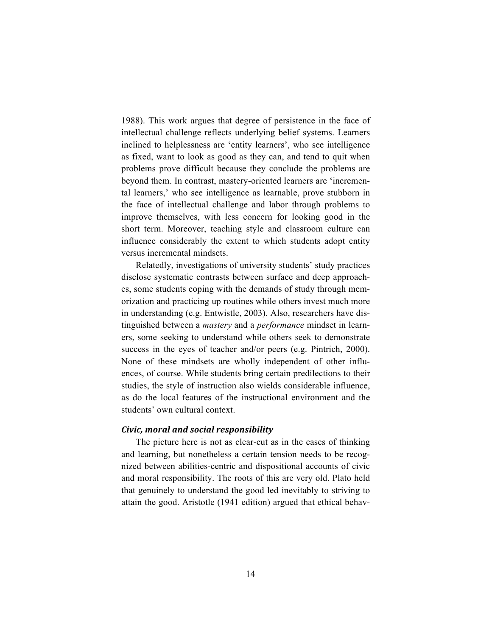1988). This work argues that degree of persistence in the face of intellectual challenge reflects underlying belief systems. Learners inclined to helplessness are 'entity learners', who see intelligence as fixed, want to look as good as they can, and tend to quit when problems prove difficult because they conclude the problems are beyond them. In contrast, mastery-oriented learners are 'incremental learners,' who see intelligence as learnable, prove stubborn in the face of intellectual challenge and labor through problems to improve themselves, with less concern for looking good in the short term. Moreover, teaching style and classroom culture can influence considerably the extent to which students adopt entity versus incremental mindsets.

Relatedly, investigations of university students' study practices disclose systematic contrasts between surface and deep approaches, some students coping with the demands of study through memorization and practicing up routines while others invest much more in understanding (e.g. Entwistle, 2003). Also, researchers have distinguished between a *mastery* and a *performance* mindset in learners, some seeking to understand while others seek to demonstrate success in the eyes of teacher and/or peers (e.g. Pintrich, 2000). None of these mindsets are wholly independent of other influences, of course. While students bring certain predilections to their studies, the style of instruction also wields considerable influence, as do the local features of the instructional environment and the students' own cultural context.

#### *Civic, moral and social responsibility*

The picture here is not as clear-cut as in the cases of thinking and learning, but nonetheless a certain tension needs to be recognized between abilities-centric and dispositional accounts of civic and moral responsibility. The roots of this are very old. Plato held that genuinely to understand the good led inevitably to striving to attain the good. Aristotle (1941 edition) argued that ethical behav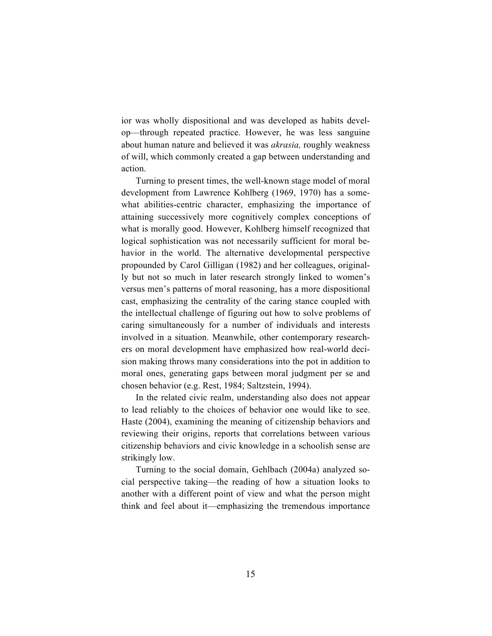ior was wholly dispositional and was developed as habits develop—through repeated practice. However, he was less sanguine about human nature and believed it was *akrasia,* roughly weakness of will, which commonly created a gap between understanding and action.

Turning to present times, the well-known stage model of moral development from Lawrence Kohlberg (1969, 1970) has a somewhat abilities-centric character, emphasizing the importance of attaining successively more cognitively complex conceptions of what is morally good. However, Kohlberg himself recognized that logical sophistication was not necessarily sufficient for moral behavior in the world. The alternative developmental perspective propounded by Carol Gilligan (1982) and her colleagues, originally but not so much in later research strongly linked to women's versus men's patterns of moral reasoning, has a more dispositional cast, emphasizing the centrality of the caring stance coupled with the intellectual challenge of figuring out how to solve problems of caring simultaneously for a number of individuals and interests involved in a situation. Meanwhile, other contemporary researchers on moral development have emphasized how real-world decision making throws many considerations into the pot in addition to moral ones, generating gaps between moral judgment per se and chosen behavior (e.g. Rest, 1984; Saltzstein, 1994).

In the related civic realm, understanding also does not appear to lead reliably to the choices of behavior one would like to see. Haste (2004), examining the meaning of citizenship behaviors and reviewing their origins, reports that correlations between various citizenship behaviors and civic knowledge in a schoolish sense are strikingly low.

Turning to the social domain, Gehlbach (2004a) analyzed social perspective taking—the reading of how a situation looks to another with a different point of view and what the person might think and feel about it—emphasizing the tremendous importance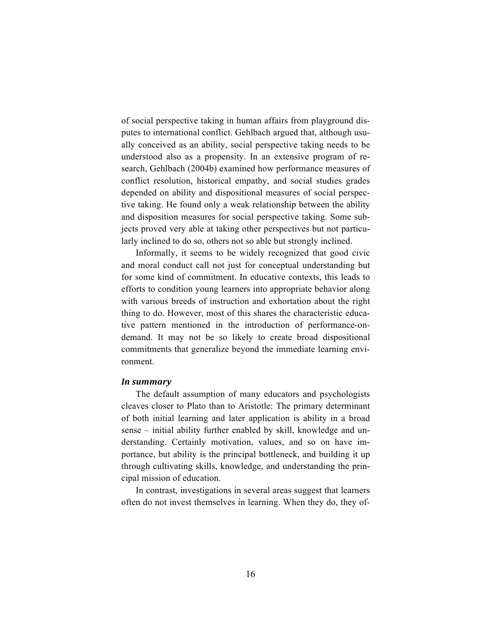of social perspective taking in human affairs from playground disputes to international conflict. Gehlbach argued that, although usually conceived as an ability, social perspective taking needs to be understood also as a propensity. In an extensive program of research, Gehlbach (2004b) examined how performance measures of conflict resolution, historical empathy, and social studies grades depended on ability and dispositional measures of social perspective taking. He found only a weak relationship between the ability and disposition measures for social perspective taking. Some subjects proved very able at taking other perspectives but not particularly inclined to do so, others not so able but strongly inclined.

Informally, it seems to be widely recognized that good civic and moral conduct call not just for conceptual understanding but for some kind of commitment. In educative contexts, this leads to efforts to condition young learners into appropriate behavior along with various breeds of instruction and exhortation about the right thing to do. However, most of this shares the characteristic educative pattern mentioned in the introduction of performance-ondemand. It may not be so likely to create broad dispositional commitments that generalize beyond the immediate learning environment.

#### *In summary*

The default assumption of many educators and psychologists cleaves closer to Plato than to Aristotle: The primary determinant of both initial learning and later application is ability in a broad sense – initial ability further enabled by skill, knowledge and understanding. Certainly motivation, values, and so on have importance, but ability is the principal bottleneck, and building it up through cultivating skills, knowledge, and understanding the principal mission of education.

In contrast, investigations in several areas suggest that learners often do not invest themselves in learning. When they do, they of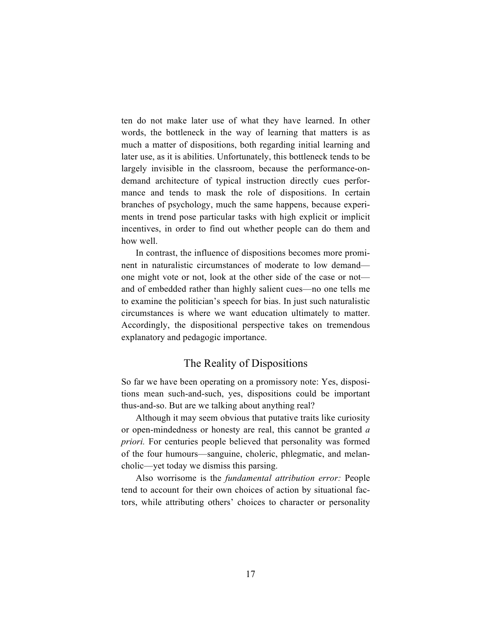ten do not make later use of what they have learned. In other words, the bottleneck in the way of learning that matters is as much a matter of dispositions, both regarding initial learning and later use, as it is abilities. Unfortunately, this bottleneck tends to be largely invisible in the classroom, because the performance-ondemand architecture of typical instruction directly cues performance and tends to mask the role of dispositions. In certain branches of psychology, much the same happens, because experiments in trend pose particular tasks with high explicit or implicit incentives, in order to find out whether people can do them and how well.

In contrast, the influence of dispositions becomes more prominent in naturalistic circumstances of moderate to low demand one might vote or not, look at the other side of the case or not and of embedded rather than highly salient cues—no one tells me to examine the politician's speech for bias. In just such naturalistic circumstances is where we want education ultimately to matter. Accordingly, the dispositional perspective takes on tremendous explanatory and pedagogic importance.

## The Reality of Dispositions

So far we have been operating on a promissory note: Yes, dispositions mean such-and-such, yes, dispositions could be important thus-and-so. But are we talking about anything real?

Although it may seem obvious that putative traits like curiosity or open-mindedness or honesty are real, this cannot be granted *a priori.* For centuries people believed that personality was formed of the four humours—sanguine, choleric, phlegmatic, and melancholic—yet today we dismiss this parsing.

Also worrisome is the *fundamental attribution error:* People tend to account for their own choices of action by situational factors, while attributing others' choices to character or personality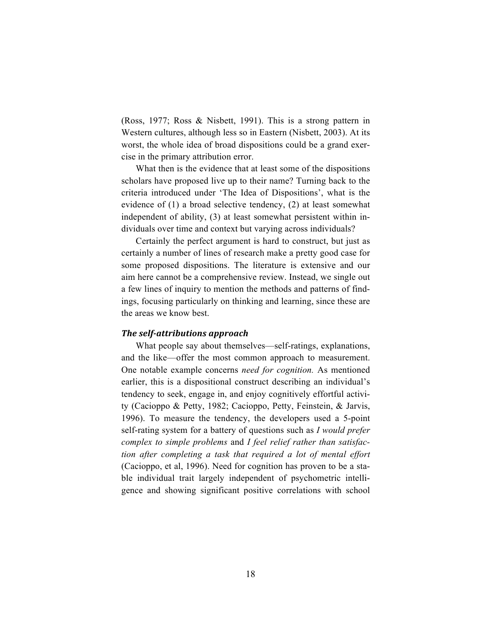(Ross, 1977; Ross & Nisbett, 1991). This is a strong pattern in Western cultures, although less so in Eastern (Nisbett, 2003). At its worst, the whole idea of broad dispositions could be a grand exercise in the primary attribution error.

What then is the evidence that at least some of the dispositions scholars have proposed live up to their name? Turning back to the criteria introduced under 'The Idea of Dispositions', what is the evidence of (1) a broad selective tendency, (2) at least somewhat independent of ability, (3) at least somewhat persistent within individuals over time and context but varying across individuals?

Certainly the perfect argument is hard to construct, but just as certainly a number of lines of research make a pretty good case for some proposed dispositions. The literature is extensive and our aim here cannot be a comprehensive review. Instead, we single out a few lines of inquiry to mention the methods and patterns of findings, focusing particularly on thinking and learning, since these are the areas we know best.

#### *The self-attributions approach*

What people say about themselves—self-ratings, explanations, and the like—offer the most common approach to measurement. One notable example concerns *need for cognition.* As mentioned earlier, this is a dispositional construct describing an individual's tendency to seek, engage in, and enjoy cognitively effortful activity (Cacioppo & Petty, 1982; Cacioppo, Petty, Feinstein, & Jarvis, 1996). To measure the tendency, the developers used a 5-point self-rating system for a battery of questions such as *I would prefer complex to simple problems* and *I feel relief rather than satisfaction after completing a task that required a lot of mental effort* (Cacioppo, et al, 1996). Need for cognition has proven to be a stable individual trait largely independent of psychometric intelligence and showing significant positive correlations with school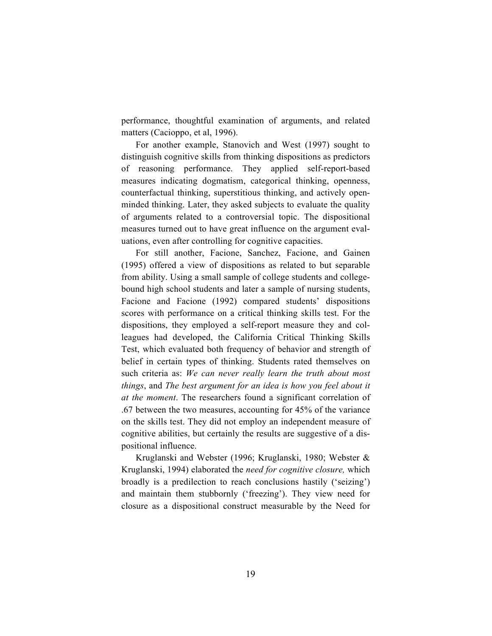performance, thoughtful examination of arguments, and related matters (Cacioppo, et al, 1996).

For another example, Stanovich and West (1997) sought to distinguish cognitive skills from thinking dispositions as predictors of reasoning performance. They applied self-report-based measures indicating dogmatism, categorical thinking, openness, counterfactual thinking, superstitious thinking, and actively openminded thinking. Later, they asked subjects to evaluate the quality of arguments related to a controversial topic. The dispositional measures turned out to have great influence on the argument evaluations, even after controlling for cognitive capacities.

For still another, Facione, Sanchez, Facione, and Gainen (1995) offered a view of dispositions as related to but separable from ability. Using a small sample of college students and collegebound high school students and later a sample of nursing students, Facione and Facione (1992) compared students' dispositions scores with performance on a critical thinking skills test. For the dispositions, they employed a self-report measure they and colleagues had developed, the California Critical Thinking Skills Test, which evaluated both frequency of behavior and strength of belief in certain types of thinking. Students rated themselves on such criteria as: *We can never really learn the truth about most things*, and *The best argument for an idea is how you feel about it at the moment*. The researchers found a significant correlation of .67 between the two measures, accounting for 45% of the variance on the skills test. They did not employ an independent measure of cognitive abilities, but certainly the results are suggestive of a dispositional influence.

Kruglanski and Webster (1996; Kruglanski, 1980; Webster & Kruglanski, 1994) elaborated the *need for cognitive closure,* which broadly is a predilection to reach conclusions hastily ('seizing') and maintain them stubbornly ('freezing'). They view need for closure as a dispositional construct measurable by the Need for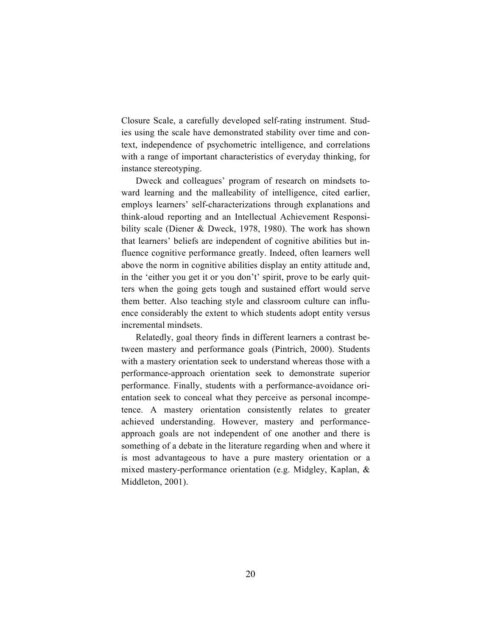Closure Scale, a carefully developed self-rating instrument. Studies using the scale have demonstrated stability over time and context, independence of psychometric intelligence, and correlations with a range of important characteristics of everyday thinking, for instance stereotyping.

Dweck and colleagues' program of research on mindsets toward learning and the malleability of intelligence, cited earlier, employs learners' self-characterizations through explanations and think-aloud reporting and an Intellectual Achievement Responsibility scale (Diener & Dweck, 1978, 1980). The work has shown that learners' beliefs are independent of cognitive abilities but influence cognitive performance greatly. Indeed, often learners well above the norm in cognitive abilities display an entity attitude and, in the 'either you get it or you don't' spirit, prove to be early quitters when the going gets tough and sustained effort would serve them better. Also teaching style and classroom culture can influence considerably the extent to which students adopt entity versus incremental mindsets.

Relatedly, goal theory finds in different learners a contrast between mastery and performance goals (Pintrich, 2000). Students with a mastery orientation seek to understand whereas those with a performance-approach orientation seek to demonstrate superior performance. Finally, students with a performance-avoidance orientation seek to conceal what they perceive as personal incompetence. A mastery orientation consistently relates to greater achieved understanding. However, mastery and performanceapproach goals are not independent of one another and there is something of a debate in the literature regarding when and where it is most advantageous to have a pure mastery orientation or a mixed mastery-performance orientation (e.g. Midgley, Kaplan, & Middleton, 2001).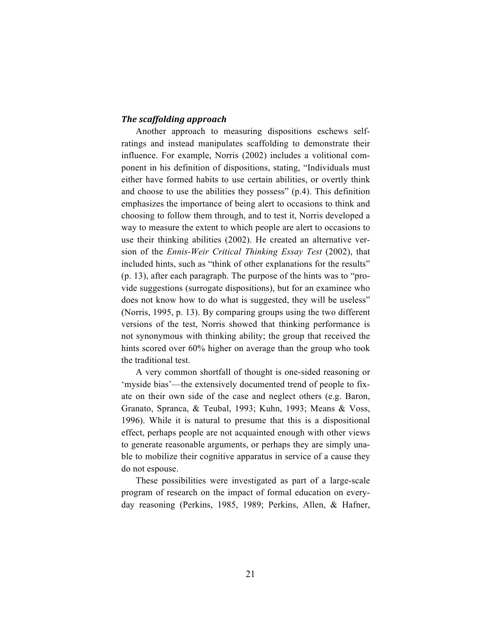#### *The scaffolding approach*

Another approach to measuring dispositions eschews selfratings and instead manipulates scaffolding to demonstrate their influence. For example, Norris (2002) includes a volitional component in his definition of dispositions, stating, "Individuals must either have formed habits to use certain abilities, or overtly think and choose to use the abilities they possess" (p.4). This definition emphasizes the importance of being alert to occasions to think and choosing to follow them through, and to test it, Norris developed a way to measure the extent to which people are alert to occasions to use their thinking abilities (2002). He created an alternative version of the *Ennis-Weir Critical Thinking Essay Test* (2002), that included hints, such as "think of other explanations for the results" (p. 13), after each paragraph. The purpose of the hints was to "provide suggestions (surrogate dispositions), but for an examinee who does not know how to do what is suggested, they will be useless" (Norris, 1995, p. 13). By comparing groups using the two different versions of the test, Norris showed that thinking performance is not synonymous with thinking ability; the group that received the hints scored over 60% higher on average than the group who took the traditional test.

A very common shortfall of thought is one-sided reasoning or 'myside bias'—the extensively documented trend of people to fixate on their own side of the case and neglect others (e.g. Baron, Granato, Spranca, & Teubal, 1993; Kuhn, 1993; Means & Voss, 1996). While it is natural to presume that this is a dispositional effect, perhaps people are not acquainted enough with other views to generate reasonable arguments, or perhaps they are simply unable to mobilize their cognitive apparatus in service of a cause they do not espouse.

These possibilities were investigated as part of a large-scale program of research on the impact of formal education on everyday reasoning (Perkins, 1985, 1989; Perkins, Allen, & Hafner,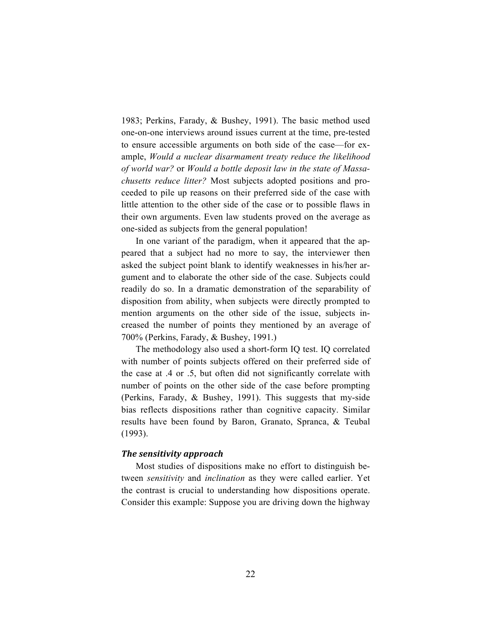1983; Perkins, Farady, & Bushey, 1991). The basic method used one-on-one interviews around issues current at the time, pre-tested to ensure accessible arguments on both side of the case—for example, *Would a nuclear disarmament treaty reduce the likelihood of world war?* or *Would a bottle deposit law in the state of Massachusetts reduce litter?* Most subjects adopted positions and proceeded to pile up reasons on their preferred side of the case with little attention to the other side of the case or to possible flaws in their own arguments. Even law students proved on the average as one-sided as subjects from the general population!

In one variant of the paradigm, when it appeared that the appeared that a subject had no more to say, the interviewer then asked the subject point blank to identify weaknesses in his/her argument and to elaborate the other side of the case. Subjects could readily do so. In a dramatic demonstration of the separability of disposition from ability, when subjects were directly prompted to mention arguments on the other side of the issue, subjects increased the number of points they mentioned by an average of 700% (Perkins, Farady, & Bushey, 1991.)

The methodology also used a short-form IQ test. IQ correlated with number of points subjects offered on their preferred side of the case at .4 or .5, but often did not significantly correlate with number of points on the other side of the case before prompting (Perkins, Farady, & Bushey, 1991). This suggests that my-side bias reflects dispositions rather than cognitive capacity. Similar results have been found by Baron, Granato, Spranca, & Teubal (1993).

#### *The sensitivity approach*

Most studies of dispositions make no effort to distinguish between *sensitivity* and *inclination* as they were called earlier. Yet the contrast is crucial to understanding how dispositions operate. Consider this example: Suppose you are driving down the highway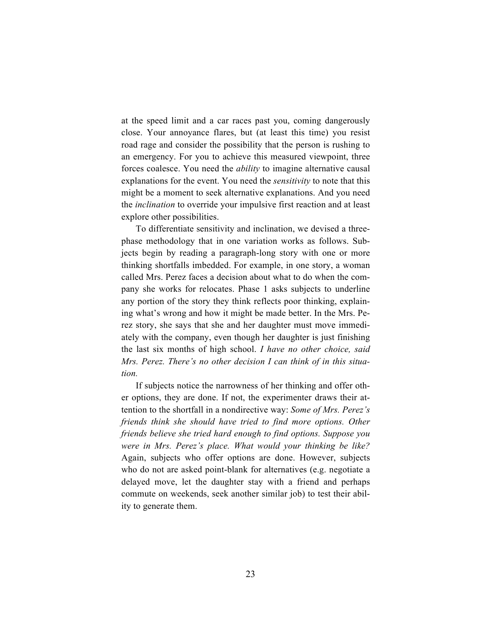at the speed limit and a car races past you, coming dangerously close. Your annoyance flares, but (at least this time) you resist road rage and consider the possibility that the person is rushing to an emergency. For you to achieve this measured viewpoint, three forces coalesce. You need the *ability* to imagine alternative causal explanations for the event. You need the *sensitivity* to note that this might be a moment to seek alternative explanations. And you need the *inclination* to override your impulsive first reaction and at least explore other possibilities.

To differentiate sensitivity and inclination, we devised a threephase methodology that in one variation works as follows. Subjects begin by reading a paragraph-long story with one or more thinking shortfalls imbedded. For example, in one story, a woman called Mrs. Perez faces a decision about what to do when the company she works for relocates. Phase 1 asks subjects to underline any portion of the story they think reflects poor thinking, explaining what's wrong and how it might be made better. In the Mrs. Perez story, she says that she and her daughter must move immediately with the company, even though her daughter is just finishing the last six months of high school. *I have no other choice, said Mrs. Perez. There's no other decision I can think of in this situation.*

If subjects notice the narrowness of her thinking and offer other options, they are done. If not, the experimenter draws their attention to the shortfall in a nondirective way: *Some of Mrs. Perez's friends think she should have tried to find more options. Other friends believe she tried hard enough to find options. Suppose you were in Mrs. Perez's place. What would your thinking be like?* Again, subjects who offer options are done. However, subjects who do not are asked point-blank for alternatives (e.g. negotiate a delayed move, let the daughter stay with a friend and perhaps commute on weekends, seek another similar job) to test their ability to generate them.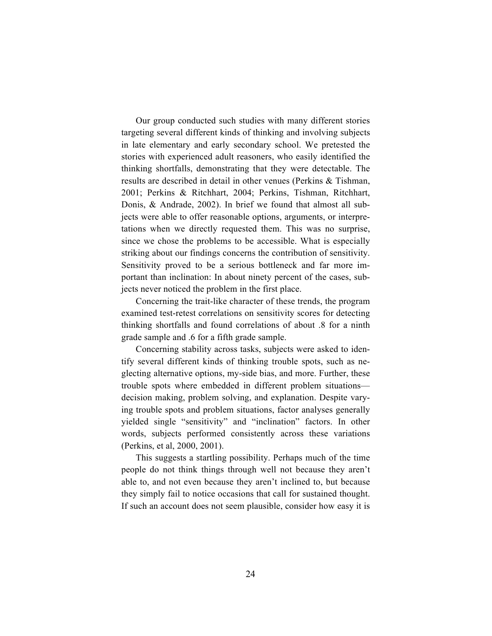Our group conducted such studies with many different stories targeting several different kinds of thinking and involving subjects in late elementary and early secondary school. We pretested the stories with experienced adult reasoners, who easily identified the thinking shortfalls, demonstrating that they were detectable. The results are described in detail in other venues (Perkins & Tishman, 2001; Perkins & Ritchhart, 2004; Perkins, Tishman, Ritchhart, Donis, & Andrade, 2002). In brief we found that almost all subjects were able to offer reasonable options, arguments, or interpretations when we directly requested them. This was no surprise, since we chose the problems to be accessible. What is especially striking about our findings concerns the contribution of sensitivity. Sensitivity proved to be a serious bottleneck and far more important than inclination: In about ninety percent of the cases, subjects never noticed the problem in the first place.

Concerning the trait-like character of these trends, the program examined test-retest correlations on sensitivity scores for detecting thinking shortfalls and found correlations of about .8 for a ninth grade sample and .6 for a fifth grade sample.

Concerning stability across tasks, subjects were asked to identify several different kinds of thinking trouble spots, such as neglecting alternative options, my-side bias, and more. Further, these trouble spots where embedded in different problem situations decision making, problem solving, and explanation. Despite varying trouble spots and problem situations, factor analyses generally yielded single "sensitivity" and "inclination" factors. In other words, subjects performed consistently across these variations (Perkins, et al, 2000, 2001).

This suggests a startling possibility. Perhaps much of the time people do not think things through well not because they aren't able to, and not even because they aren't inclined to, but because they simply fail to notice occasions that call for sustained thought. If such an account does not seem plausible, consider how easy it is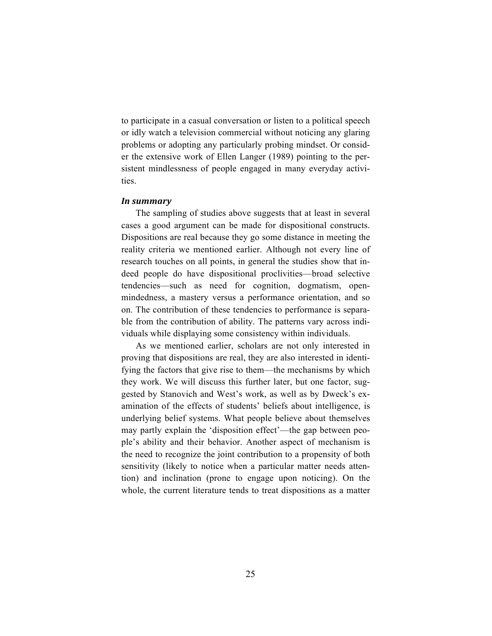to participate in a casual conversation or listen to a political speech or idly watch a television commercial without noticing any glaring problems or adopting any particularly probing mindset. Or consider the extensive work of Ellen Langer (1989) pointing to the persistent mindlessness of people engaged in many everyday activities.

#### *In summary*

The sampling of studies above suggests that at least in several cases a good argument can be made for dispositional constructs. Dispositions are real because they go some distance in meeting the reality criteria we mentioned earlier. Although not every line of research touches on all points, in general the studies show that indeed people do have dispositional proclivities—broad selective tendencies—such as need for cognition, dogmatism, openmindedness, a mastery versus a performance orientation, and so on. The contribution of these tendencies to performance is separable from the contribution of ability. The patterns vary across individuals while displaying some consistency within individuals.

As we mentioned earlier, scholars are not only interested in proving that dispositions are real, they are also interested in identifying the factors that give rise to them—the mechanisms by which they work. We will discuss this further later, but one factor, suggested by Stanovich and West's work, as well as by Dweck's examination of the effects of students' beliefs about intelligence, is underlying belief systems. What people believe about themselves may partly explain the 'disposition effect'—the gap between people's ability and their behavior. Another aspect of mechanism is the need to recognize the joint contribution to a propensity of both sensitivity (likely to notice when a particular matter needs attention) and inclination (prone to engage upon noticing). On the whole, the current literature tends to treat dispositions as a matter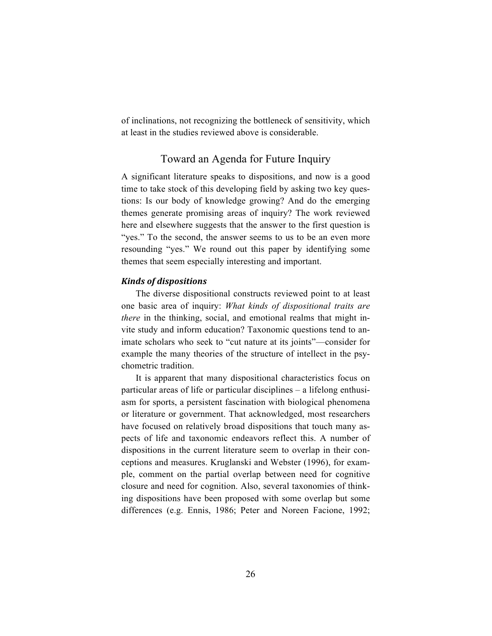of inclinations, not recognizing the bottleneck of sensitivity, which at least in the studies reviewed above is considerable.

## Toward an Agenda for Future Inquiry

A significant literature speaks to dispositions, and now is a good time to take stock of this developing field by asking two key questions: Is our body of knowledge growing? And do the emerging themes generate promising areas of inquiry? The work reviewed here and elsewhere suggests that the answer to the first question is "yes." To the second, the answer seems to us to be an even more resounding "yes." We round out this paper by identifying some themes that seem especially interesting and important.

#### *Kinds of dispositions*

The diverse dispositional constructs reviewed point to at least one basic area of inquiry: *What kinds of dispositional traits are there* in the thinking, social, and emotional realms that might invite study and inform education? Taxonomic questions tend to animate scholars who seek to "cut nature at its joints"—consider for example the many theories of the structure of intellect in the psychometric tradition.

It is apparent that many dispositional characteristics focus on particular areas of life or particular disciplines – a lifelong enthusiasm for sports, a persistent fascination with biological phenomena or literature or government. That acknowledged, most researchers have focused on relatively broad dispositions that touch many aspects of life and taxonomic endeavors reflect this. A number of dispositions in the current literature seem to overlap in their conceptions and measures. Kruglanski and Webster (1996), for example, comment on the partial overlap between need for cognitive closure and need for cognition. Also, several taxonomies of thinking dispositions have been proposed with some overlap but some differences (e.g. Ennis, 1986; Peter and Noreen Facione, 1992;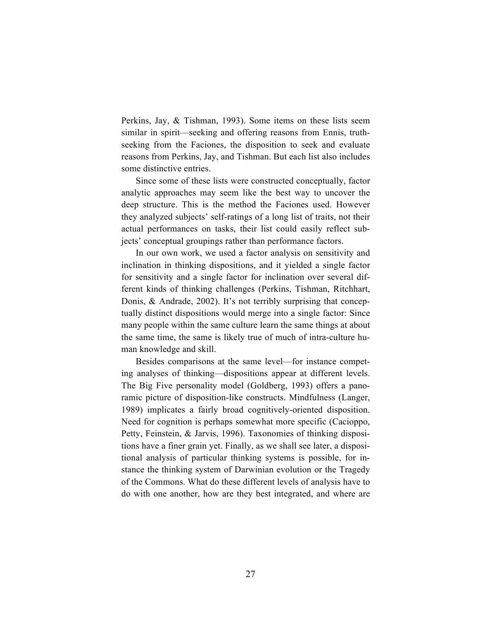Perkins, Jay, & Tishman, 1993). Some items on these lists seem similar in spirit—seeking and offering reasons from Ennis, truthseeking from the Faciones, the disposition to seek and evaluate reasons from Perkins, Jay, and Tishman. But each list also includes some distinctive entries.

Since some of these lists were constructed conceptually, factor analytic approaches may seem like the best way to uncover the deep structure. This is the method the Faciones used. However they analyzed subjects' self-ratings of a long list of traits, not their actual performances on tasks, their list could easily reflect subjects' conceptual groupings rather than performance factors.

In our own work, we used a factor analysis on sensitivity and inclination in thinking dispositions, and it yielded a single factor for sensitivity and a single factor for inclination over several different kinds of thinking challenges (Perkins, Tishman, Ritchhart, Donis, & Andrade, 2002). It's not terribly surprising that conceptually distinct dispositions would merge into a single factor: Since many people within the same culture learn the same things at about the same time, the same is likely true of much of intra-culture human knowledge and skill.

Besides comparisons at the same level—for instance competing analyses of thinking—dispositions appear at different levels. The Big Five personality model (Goldberg, 1993) offers a panoramic picture of disposition-like constructs. Mindfulness (Langer, 1989) implicates a fairly broad cognitively-oriented disposition. Need for cognition is perhaps somewhat more specific (Cacioppo, Petty, Feinstein, & Jarvis, 1996). Taxonomies of thinking dispositions have a finer grain yet. Finally, as we shall see later, a dispositional analysis of particular thinking systems is possible, for instance the thinking system of Darwinian evolution or the Tragedy of the Commons. What do these different levels of analysis have to do with one another, how are they best integrated, and where are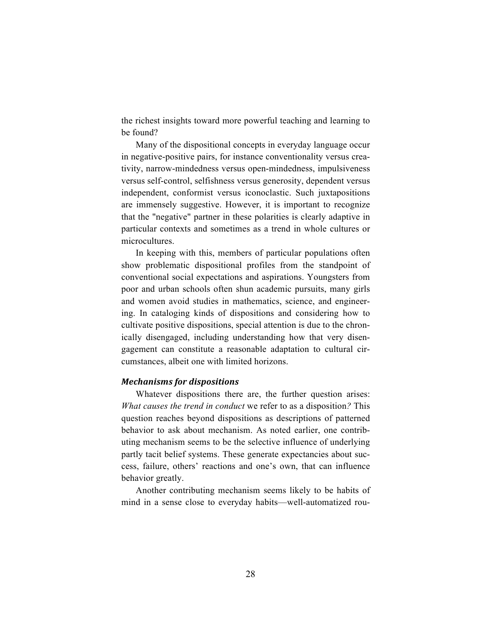the richest insights toward more powerful teaching and learning to be found?

Many of the dispositional concepts in everyday language occur in negative-positive pairs, for instance conventionality versus creativity, narrow-mindedness versus open-mindedness, impulsiveness versus self-control, selfishness versus generosity, dependent versus independent, conformist versus iconoclastic. Such juxtapositions are immensely suggestive. However, it is important to recognize that the "negative" partner in these polarities is clearly adaptive in particular contexts and sometimes as a trend in whole cultures or microcultures.

In keeping with this, members of particular populations often show problematic dispositional profiles from the standpoint of conventional social expectations and aspirations. Youngsters from poor and urban schools often shun academic pursuits, many girls and women avoid studies in mathematics, science, and engineering. In cataloging kinds of dispositions and considering how to cultivate positive dispositions, special attention is due to the chronically disengaged, including understanding how that very disengagement can constitute a reasonable adaptation to cultural circumstances, albeit one with limited horizons.

#### *Mechanisms for dispositions*

Whatever dispositions there are, the further question arises: *What causes the trend in conduct* we refer to as a disposition*?* This question reaches beyond dispositions as descriptions of patterned behavior to ask about mechanism. As noted earlier, one contributing mechanism seems to be the selective influence of underlying partly tacit belief systems. These generate expectancies about success, failure, others' reactions and one's own, that can influence behavior greatly.

Another contributing mechanism seems likely to be habits of mind in a sense close to everyday habits—well-automatized rou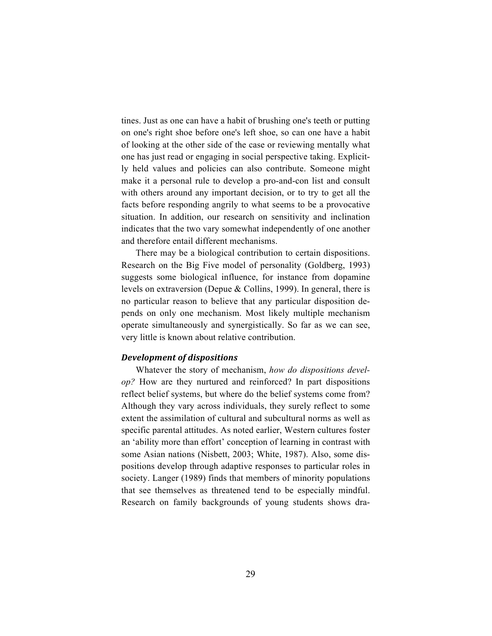tines. Just as one can have a habit of brushing one's teeth or putting on one's right shoe before one's left shoe, so can one have a habit of looking at the other side of the case or reviewing mentally what one has just read or engaging in social perspective taking. Explicitly held values and policies can also contribute. Someone might make it a personal rule to develop a pro-and-con list and consult with others around any important decision, or to try to get all the facts before responding angrily to what seems to be a provocative situation. In addition, our research on sensitivity and inclination indicates that the two vary somewhat independently of one another and therefore entail different mechanisms.

There may be a biological contribution to certain dispositions. Research on the Big Five model of personality (Goldberg, 1993) suggests some biological influence, for instance from dopamine levels on extraversion (Depue & Collins, 1999). In general, there is no particular reason to believe that any particular disposition depends on only one mechanism. Most likely multiple mechanism operate simultaneously and synergistically. So far as we can see, very little is known about relative contribution.

#### *Development of dispositions*

Whatever the story of mechanism, *how do dispositions develop?* How are they nurtured and reinforced? In part dispositions reflect belief systems, but where do the belief systems come from? Although they vary across individuals, they surely reflect to some extent the assimilation of cultural and subcultural norms as well as specific parental attitudes. As noted earlier, Western cultures foster an 'ability more than effort' conception of learning in contrast with some Asian nations (Nisbett, 2003; White, 1987). Also, some dispositions develop through adaptive responses to particular roles in society. Langer (1989) finds that members of minority populations that see themselves as threatened tend to be especially mindful. Research on family backgrounds of young students shows dra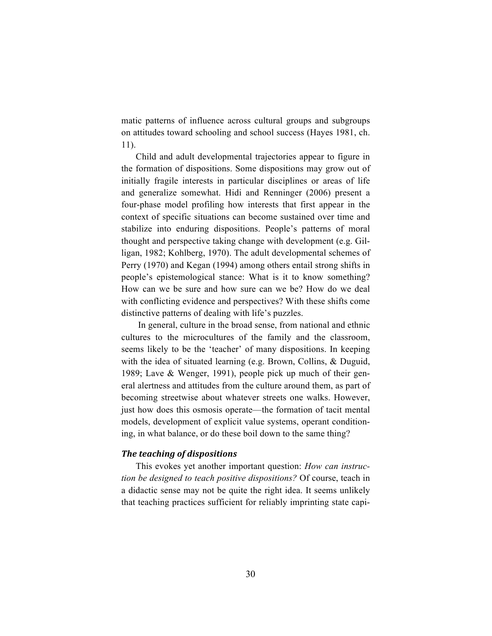matic patterns of influence across cultural groups and subgroups on attitudes toward schooling and school success (Hayes 1981, ch. 11).

Child and adult developmental trajectories appear to figure in the formation of dispositions. Some dispositions may grow out of initially fragile interests in particular disciplines or areas of life and generalize somewhat. Hidi and Renninger (2006) present a four-phase model profiling how interests that first appear in the context of specific situations can become sustained over time and stabilize into enduring dispositions. People's patterns of moral thought and perspective taking change with development (e.g. Gilligan, 1982; Kohlberg, 1970). The adult developmental schemes of Perry (1970) and Kegan (1994) among others entail strong shifts in people's epistemological stance: What is it to know something? How can we be sure and how sure can we be? How do we deal with conflicting evidence and perspectives? With these shifts come distinctive patterns of dealing with life's puzzles.

In general, culture in the broad sense, from national and ethnic cultures to the microcultures of the family and the classroom, seems likely to be the 'teacher' of many dispositions. In keeping with the idea of situated learning (e.g. Brown, Collins, & Duguid, 1989; Lave & Wenger, 1991), people pick up much of their general alertness and attitudes from the culture around them, as part of becoming streetwise about whatever streets one walks. However, just how does this osmosis operate—the formation of tacit mental models, development of explicit value systems, operant conditioning, in what balance, or do these boil down to the same thing?

#### *The teaching of dispositions*

This evokes yet another important question: *How can instruction be designed to teach positive dispositions?* Of course, teach in a didactic sense may not be quite the right idea. It seems unlikely that teaching practices sufficient for reliably imprinting state capi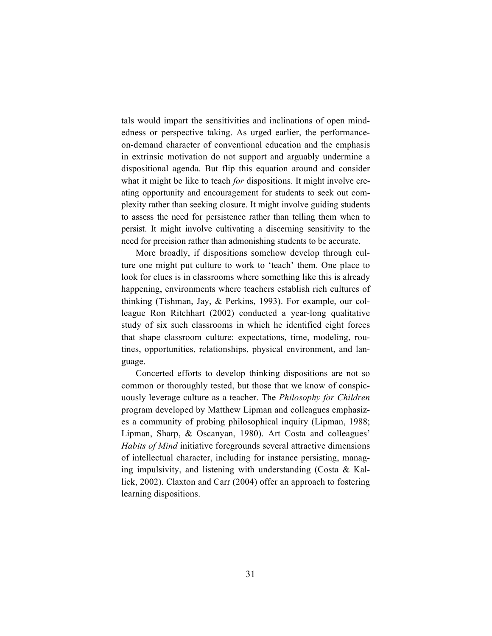tals would impart the sensitivities and inclinations of open mindedness or perspective taking. As urged earlier, the performanceon-demand character of conventional education and the emphasis in extrinsic motivation do not support and arguably undermine a dispositional agenda. But flip this equation around and consider what it might be like to teach *for* dispositions. It might involve creating opportunity and encouragement for students to seek out complexity rather than seeking closure. It might involve guiding students to assess the need for persistence rather than telling them when to persist. It might involve cultivating a discerning sensitivity to the need for precision rather than admonishing students to be accurate.

More broadly, if dispositions somehow develop through culture one might put culture to work to 'teach' them. One place to look for clues is in classrooms where something like this is already happening, environments where teachers establish rich cultures of thinking (Tishman, Jay, & Perkins, 1993). For example, our colleague Ron Ritchhart (2002) conducted a year-long qualitative study of six such classrooms in which he identified eight forces that shape classroom culture: expectations, time, modeling, routines, opportunities, relationships, physical environment, and language.

Concerted efforts to develop thinking dispositions are not so common or thoroughly tested, but those that we know of conspicuously leverage culture as a teacher. The *Philosophy for Children* program developed by Matthew Lipman and colleagues emphasizes a community of probing philosophical inquiry (Lipman, 1988; Lipman, Sharp, & Oscanyan, 1980). Art Costa and colleagues' *Habits of Mind* initiative foregrounds several attractive dimensions of intellectual character, including for instance persisting, managing impulsivity, and listening with understanding (Costa & Kallick, 2002). Claxton and Carr (2004) offer an approach to fostering learning dispositions.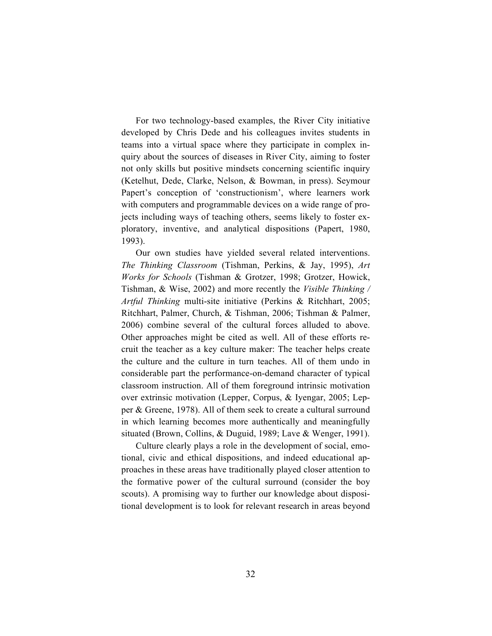For two technology-based examples, the River City initiative developed by Chris Dede and his colleagues invites students in teams into a virtual space where they participate in complex inquiry about the sources of diseases in River City, aiming to foster not only skills but positive mindsets concerning scientific inquiry (Ketelhut, Dede, Clarke, Nelson, & Bowman, in press). Seymour Papert's conception of 'constructionism', where learners work with computers and programmable devices on a wide range of projects including ways of teaching others, seems likely to foster exploratory, inventive, and analytical dispositions (Papert, 1980, 1993).

Our own studies have yielded several related interventions. *The Thinking Classroom* (Tishman, Perkins, & Jay, 1995), *Art Works for Schools* (Tishman & Grotzer, 1998; Grotzer, Howick, Tishman, & Wise, 2002) and more recently the *Visible Thinking / Artful Thinking* multi-site initiative (Perkins & Ritchhart, 2005; Ritchhart, Palmer, Church, & Tishman, 2006; Tishman & Palmer, 2006) combine several of the cultural forces alluded to above. Other approaches might be cited as well. All of these efforts recruit the teacher as a key culture maker: The teacher helps create the culture and the culture in turn teaches. All of them undo in considerable part the performance-on-demand character of typical classroom instruction. All of them foreground intrinsic motivation over extrinsic motivation (Lepper, Corpus, & Iyengar, 2005; Lepper & Greene, 1978). All of them seek to create a cultural surround in which learning becomes more authentically and meaningfully situated (Brown, Collins, & Duguid, 1989; Lave & Wenger, 1991).

Culture clearly plays a role in the development of social, emotional, civic and ethical dispositions, and indeed educational approaches in these areas have traditionally played closer attention to the formative power of the cultural surround (consider the boy scouts). A promising way to further our knowledge about dispositional development is to look for relevant research in areas beyond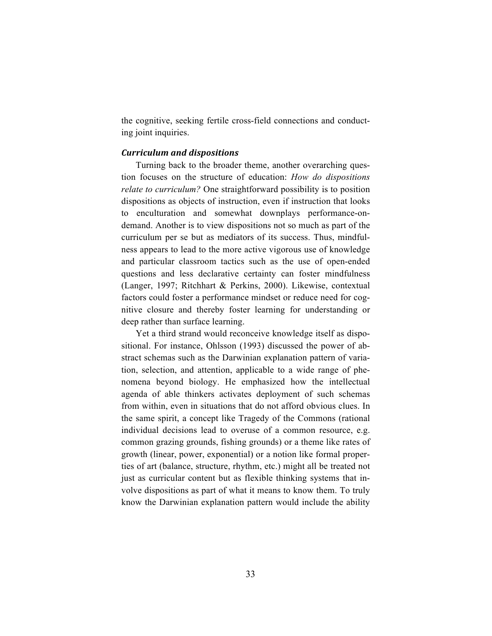the cognitive, seeking fertile cross-field connections and conducting joint inquiries.

#### *Curriculum and dispositions*

Turning back to the broader theme, another overarching question focuses on the structure of education: *How do dispositions relate to curriculum?* One straightforward possibility is to position dispositions as objects of instruction, even if instruction that looks to enculturation and somewhat downplays performance-ondemand. Another is to view dispositions not so much as part of the curriculum per se but as mediators of its success. Thus, mindfulness appears to lead to the more active vigorous use of knowledge and particular classroom tactics such as the use of open-ended questions and less declarative certainty can foster mindfulness (Langer, 1997; Ritchhart & Perkins, 2000). Likewise, contextual factors could foster a performance mindset or reduce need for cognitive closure and thereby foster learning for understanding or deep rather than surface learning.

Yet a third strand would reconceive knowledge itself as dispositional. For instance, Ohlsson (1993) discussed the power of abstract schemas such as the Darwinian explanation pattern of variation, selection, and attention, applicable to a wide range of phenomena beyond biology. He emphasized how the intellectual agenda of able thinkers activates deployment of such schemas from within, even in situations that do not afford obvious clues. In the same spirit, a concept like Tragedy of the Commons (rational individual decisions lead to overuse of a common resource, e.g. common grazing grounds, fishing grounds) or a theme like rates of growth (linear, power, exponential) or a notion like formal properties of art (balance, structure, rhythm, etc.) might all be treated not just as curricular content but as flexible thinking systems that involve dispositions as part of what it means to know them. To truly know the Darwinian explanation pattern would include the ability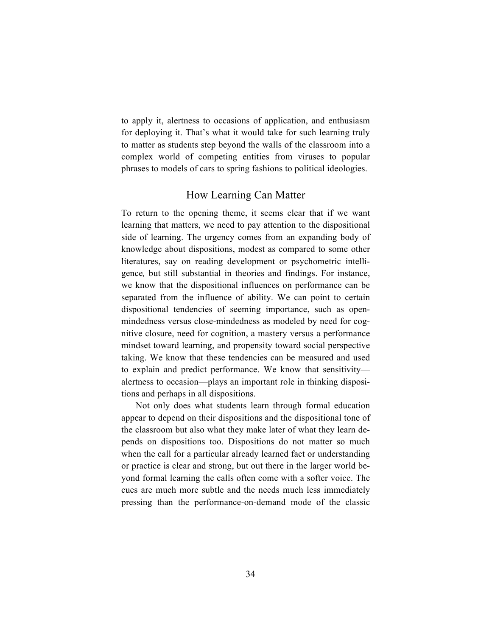to apply it, alertness to occasions of application, and enthusiasm for deploying it. That's what it would take for such learning truly to matter as students step beyond the walls of the classroom into a complex world of competing entities from viruses to popular phrases to models of cars to spring fashions to political ideologies.

### How Learning Can Matter

To return to the opening theme, it seems clear that if we want learning that matters, we need to pay attention to the dispositional side of learning. The urgency comes from an expanding body of knowledge about dispositions, modest as compared to some other literatures, say on reading development or psychometric intelligence*,* but still substantial in theories and findings. For instance, we know that the dispositional influences on performance can be separated from the influence of ability. We can point to certain dispositional tendencies of seeming importance, such as openmindedness versus close-mindedness as modeled by need for cognitive closure, need for cognition, a mastery versus a performance mindset toward learning, and propensity toward social perspective taking. We know that these tendencies can be measured and used to explain and predict performance. We know that sensitivity alertness to occasion—plays an important role in thinking dispositions and perhaps in all dispositions.

Not only does what students learn through formal education appear to depend on their dispositions and the dispositional tone of the classroom but also what they make later of what they learn depends on dispositions too. Dispositions do not matter so much when the call for a particular already learned fact or understanding or practice is clear and strong, but out there in the larger world beyond formal learning the calls often come with a softer voice. The cues are much more subtle and the needs much less immediately pressing than the performance-on-demand mode of the classic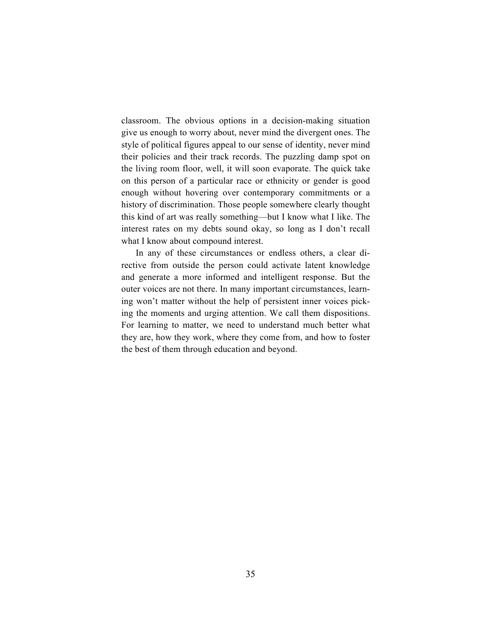classroom. The obvious options in a decision-making situation give us enough to worry about, never mind the divergent ones. The style of political figures appeal to our sense of identity, never mind their policies and their track records. The puzzling damp spot on the living room floor, well, it will soon evaporate. The quick take on this person of a particular race or ethnicity or gender is good enough without hovering over contemporary commitments or a history of discrimination. Those people somewhere clearly thought this kind of art was really something—but I know what I like. The interest rates on my debts sound okay, so long as I don't recall what I know about compound interest.

In any of these circumstances or endless others, a clear directive from outside the person could activate latent knowledge and generate a more informed and intelligent response. But the outer voices are not there. In many important circumstances, learning won't matter without the help of persistent inner voices picking the moments and urging attention. We call them dispositions. For learning to matter, we need to understand much better what they are, how they work, where they come from, and how to foster the best of them through education and beyond.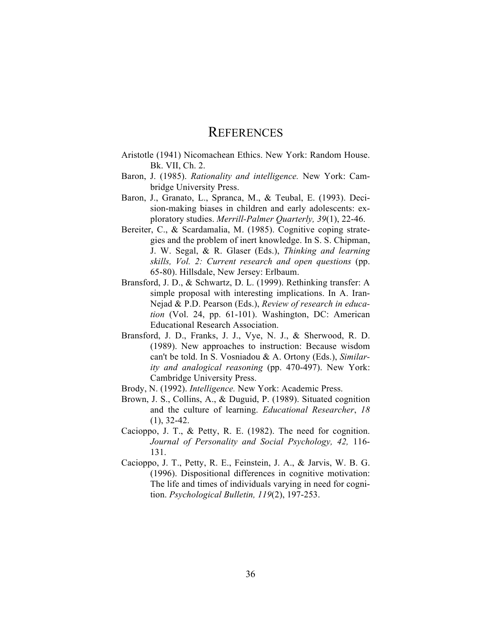## **REFERENCES**

- Aristotle (1941) Nicomachean Ethics. New York: Random House. Bk. VII, Ch. 2.
- Baron, J. (1985). *Rationality and intelligence.* New York: Cambridge University Press.
- Baron, J., Granato, L., Spranca, M., & Teubal, E. (1993). Decision-making biases in children and early adolescents: exploratory studies. *Merrill-Palmer Quarterly, 39*(1), 22-46.
- Bereiter, C., & Scardamalia, M. (1985). Cognitive coping strategies and the problem of inert knowledge. In S. S. Chipman, J. W. Segal, & R. Glaser (Eds.), *Thinking and learning skills, Vol. 2: Current research and open questions* (pp. 65-80). Hillsdale, New Jersey: Erlbaum.
- Bransford, J. D., & Schwartz, D. L. (1999). Rethinking transfer: A simple proposal with interesting implications. In A. Iran-Nejad & P.D. Pearson (Eds.), *Review of research in education* (Vol. 24, pp. 61-101). Washington, DC: American Educational Research Association.
- Bransford, J. D., Franks, J. J., Vye, N. J., & Sherwood, R. D. (1989). New approaches to instruction: Because wisdom can't be told. In S. Vosniadou & A. Ortony (Eds.), *Similarity and analogical reasoning* (pp. 470-497). New York: Cambridge University Press.
- Brody, N. (1992). *Intelligence.* New York: Academic Press.
- Brown, J. S., Collins, A., & Duguid, P. (1989). Situated cognition and the culture of learning. *Educational Researcher*, *18* (1), 32-42.
- Cacioppo, J. T., & Petty, R. E. (1982). The need for cognition. *Journal of Personality and Social Psychology, 42,* 116- 131.
- Cacioppo, J. T., Petty, R. E., Feinstein, J. A., & Jarvis, W. B. G. (1996). Dispositional differences in cognitive motivation: The life and times of individuals varying in need for cognition. *Psychological Bulletin, 119*(2), 197-253.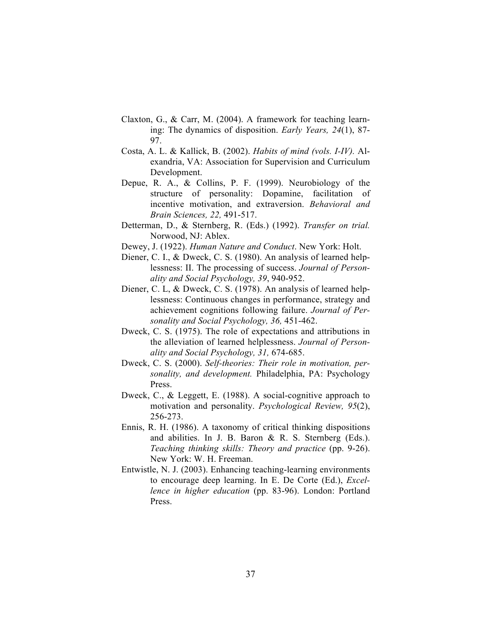- Claxton, G., & Carr, M. (2004). A framework for teaching learning: The dynamics of disposition. *Early Years, 24*(1), 87- 97.
- Costa, A. L. & Kallick, B. (2002). *Habits of mind (vols. I-IV).* Alexandria, VA: Association for Supervision and Curriculum Development.
- Depue, R. A., & Collins, P. F. (1999). Neurobiology of the structure of personality: Dopamine, facilitation of incentive motivation, and extraversion. *Behavioral and Brain Sciences, 22,* 491-517.
- Detterman, D., & Sternberg, R. (Eds.) (1992). *Transfer on trial.* Norwood, NJ: Ablex.
- Dewey, J. (1922). *Human Nature and Conduct*. New York: Holt.
- Diener, C. I., & Dweck, C. S. (1980). An analysis of learned helplessness: II. The processing of success. *Journal of Personality and Social Psychology, 39*, 940-952.
- Diener, C. L, & Dweck, C. S. (1978). An analysis of learned helplessness: Continuous changes in performance, strategy and achievement cognitions following failure. *Journal of Personality and Social Psychology, 36,* 451-462.
- Dweck, C. S. (1975). The role of expectations and attributions in the alleviation of learned helplessness. *Journal of Personality and Social Psychology, 31,* 674-685.
- Dweck, C. S. (2000). *Self-theories: Their role in motivation, personality, and development.* Philadelphia, PA: Psychology Press.
- Dweck, C., & Leggett, E. (1988). A social-cognitive approach to motivation and personality. *Psychological Review, 95*(2), 256-273.
- Ennis, R. H. (1986). A taxonomy of critical thinking dispositions and abilities. In J. B. Baron & R. S. Sternberg (Eds.). *Teaching thinking skills: Theory and practice* (pp. 9-26). New York: W. H. Freeman.
- Entwistle, N. J. (2003). Enhancing teaching-learning environments to encourage deep learning. In E. De Corte (Ed.), *Excellence in higher education* (pp. 83-96). London: Portland Press.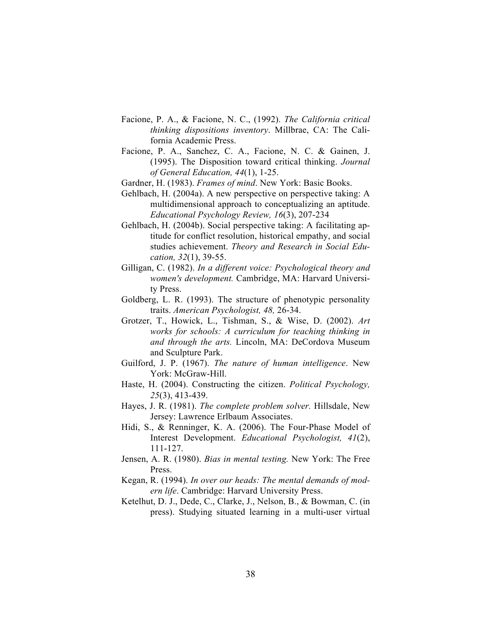- Facione, P. A., & Facione, N. C., (1992). *The California critical thinking dispositions inventory*. Millbrae, CA: The California Academic Press.
- Facione, P. A., Sanchez, C. A., Facione, N. C. & Gainen, J. (1995). The Disposition toward critical thinking. *Journal of General Education, 44*(1), 1-25.
- Gardner, H. (1983). *Frames of mind*. New York: Basic Books.
- Gehlbach, H. (2004a). A new perspective on perspective taking: A multidimensional approach to conceptualizing an aptitude. *Educational Psychology Review, 16*(3), 207-234
- Gehlbach, H. (2004b). Social perspective taking: A facilitating aptitude for conflict resolution, historical empathy, and social studies achievement. *Theory and Research in Social Education, 32*(1), 39-55.
- Gilligan, C. (1982). *In a different voice: Psychological theory and women's development.* Cambridge, MA: Harvard University Press.
- Goldberg, L. R. (1993). The structure of phenotypic personality traits. *American Psychologist, 48,* 26-34.
- Grotzer, T., Howick, L., Tishman, S., & Wise, D. (2002). *Art works for schools: A curriculum for teaching thinking in and through the arts.* Lincoln, MA: DeCordova Museum and Sculpture Park.
- Guilford, J. P. (1967). *The nature of human intelligence*. New York: McGraw-Hill.
- Haste, H. (2004). Constructing the citizen. *Political Psychology, 25*(3), 413-439.
- Hayes, J. R. (1981). *The complete problem solver.* Hillsdale, New Jersey: Lawrence Erlbaum Associates.
- Hidi, S., & Renninger, K. A. (2006). The Four-Phase Model of Interest Development. *Educational Psychologist, 41*(2), 111-127.
- Jensen, A. R. (1980). *Bias in mental testing.* New York: The Free Press.
- Kegan, R. (1994). *In over our heads: The mental demands of modern life*. Cambridge: Harvard University Press.
- Ketelhut, D. J., Dede, C., Clarke, J., Nelson, B., & Bowman, C. (in press). Studying situated learning in a multi-user virtual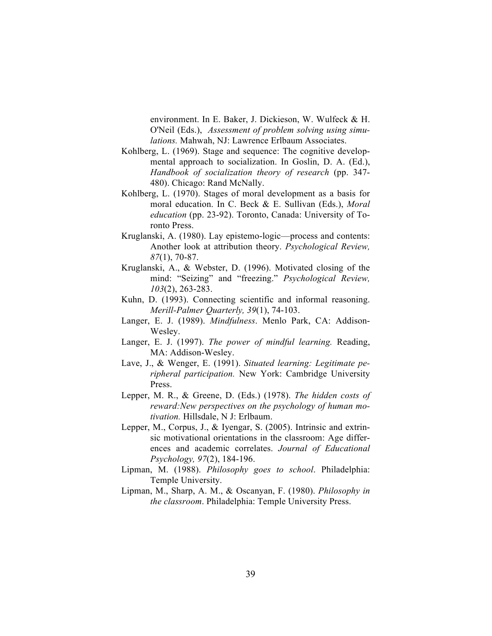environment. In E. Baker, J. Dickieson, W. Wulfeck & H. O'Neil (Eds.), *Assessment of problem solving using simulations.* Mahwah, NJ: Lawrence Erlbaum Associates.

- Kohlberg, L. (1969). Stage and sequence: The cognitive developmental approach to socialization. In Goslin, D. A. (Ed.), *Handbook of socialization theory of research* (pp. 347- 480). Chicago: Rand McNally.
- Kohlberg, L. (1970). Stages of moral development as a basis for moral education. In C. Beck & E. Sullivan (Eds.), *Moral education* (pp. 23-92). Toronto, Canada: University of Toronto Press.
- Kruglanski, A. (1980). Lay epistemo-logic—process and contents: Another look at attribution theory. *Psychological Review, 87*(1), 70-87.
- Kruglanski, A., & Webster, D. (1996). Motivated closing of the mind: "Seizing" and "freezing." *Psychological Review, 103*(2), 263-283.
- Kuhn, D. (1993). Connecting scientific and informal reasoning. *Merill-Palmer Quarterly, 39*(1), 74-103.
- Langer, E. J. (1989). *Mindfulness*. Menlo Park, CA: Addison-Wesley.
- Langer, E. J. (1997). *The power of mindful learning.* Reading, MA: Addison-Wesley.
- Lave, J., & Wenger, E. (1991). *Situated learning: Legitimate peripheral participation.* New York: Cambridge University Press.
- Lepper, M. R., & Greene, D. (Eds.) (1978). *The hidden costs of reward:New perspectives on the psychology of human motivation.* Hillsdale, N J: Erlbaum.
- Lepper, M., Corpus, J., & Iyengar, S. (2005). Intrinsic and extrinsic motivational orientations in the classroom: Age differences and academic correlates. *Journal of Educational Psychology, 97*(2), 184-196.
- Lipman, M. (1988). *Philosophy goes to school*. Philadelphia: Temple University.
- Lipman, M., Sharp, A. M., & Oscanyan, F. (1980). *Philosophy in the classroom*. Philadelphia: Temple University Press.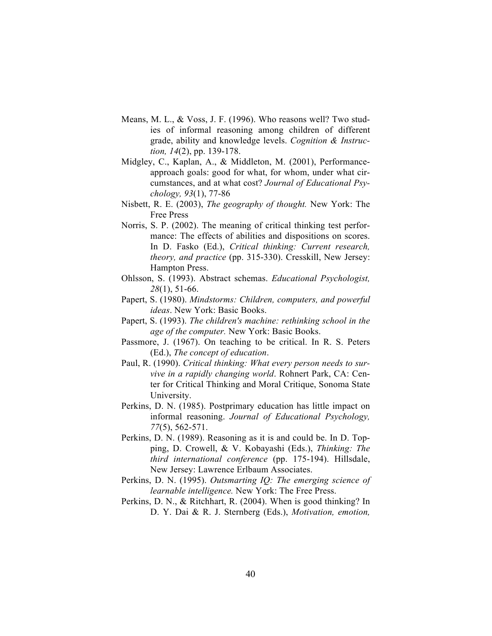- Means, M. L., & Voss, J. F. (1996). Who reasons well? Two studies of informal reasoning among children of different grade, ability and knowledge levels. *Cognition & Instruction, 14*(2), pp. 139-178.
- Midgley, C., Kaplan, A., & Middleton, M. (2001), Performanceapproach goals: good for what, for whom, under what circumstances, and at what cost? *Journal of Educational Psychology, 93*(1), 77-86
- Nisbett, R. E. (2003), *The geography of thought.* New York: The Free Press
- Norris, S. P. (2002). The meaning of critical thinking test performance: The effects of abilities and dispositions on scores. In D. Fasko (Ed.), *Critical thinking: Current research, theory, and practice* (pp. 315-330). Cresskill, New Jersey: Hampton Press.
- Ohlsson, S. (1993). Abstract schemas. *Educational Psychologist, 28*(1), 51-66.
- Papert, S. (1980). *Mindstorms: Children, computers, and powerful ideas*. New York: Basic Books.
- Papert, S. (1993). *The children's machine: rethinking school in the age of the computer.* New York: Basic Books.
- Passmore, J. (1967). On teaching to be critical. In R. S. Peters (Ed.), *The concept of education*.
- Paul, R. (1990). *Critical thinking: What every person needs to survive in a rapidly changing world*. Rohnert Park, CA: Center for Critical Thinking and Moral Critique, Sonoma State University.
- Perkins, D. N. (1985). Postprimary education has little impact on informal reasoning. *Journal of Educational Psychology, 77*(5), 562-571.
- Perkins, D. N. (1989). Reasoning as it is and could be. In D. Topping, D. Crowell, & V. Kobayashi (Eds.), *Thinking: The third international conference* (pp. 175-194). Hillsdale, New Jersey: Lawrence Erlbaum Associates.
- Perkins, D. N. (1995). *Outsmarting IQ: The emerging science of learnable intelligence.* New York: The Free Press.
- Perkins, D. N., & Ritchhart, R. (2004). When is good thinking? In D. Y. Dai & R. J. Sternberg (Eds.), *Motivation, emotion,*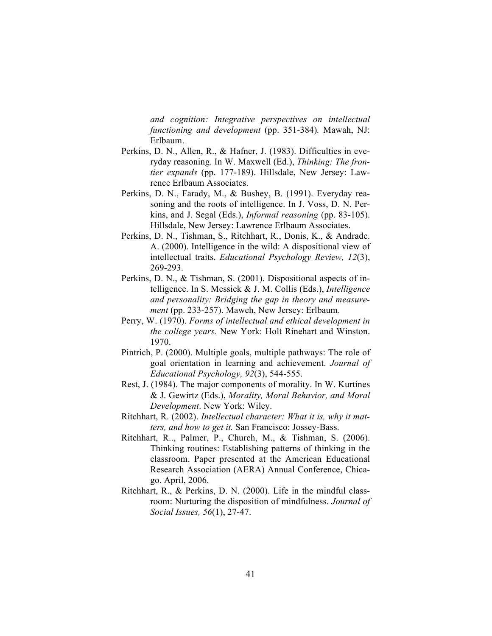*and cognition: Integrative perspectives on intellectual functioning and development* (pp. 351-384)*.* Mawah, NJ: Erlbaum.

- Perkins, D. N., Allen, R., & Hafner, J. (1983). Difficulties in everyday reasoning. In W. Maxwell (Ed.), *Thinking: The frontier expands* (pp. 177-189). Hillsdale, New Jersey: Lawrence Erlbaum Associates.
- Perkins, D. N., Farady, M., & Bushey, B. (1991). Everyday reasoning and the roots of intelligence. In J. Voss, D. N. Perkins, and J. Segal (Eds.), *Informal reasoning* (pp. 83-105). Hillsdale, New Jersey: Lawrence Erlbaum Associates.
- Perkins, D. N., Tishman, S., Ritchhart, R., Donis, K., & Andrade. A. (2000). Intelligence in the wild: A dispositional view of intellectual traits. *Educational Psychology Review, 12*(3), 269-293.
- Perkins, D. N., & Tishman, S. (2001). Dispositional aspects of intelligence. In S. Messick & J. M. Collis (Eds.), *Intelligence and personality: Bridging the gap in theory and measurement* (pp. 233-257). Maweh, New Jersey: Erlbaum.
- Perry, W. (1970). *Forms of intellectual and ethical development in the college years.* New York: Holt Rinehart and Winston. 1970.
- Pintrich, P. (2000). Multiple goals, multiple pathways: The role of goal orientation in learning and achievement. *Journal of Educational Psychology, 92*(3), 544-555.
- Rest, J. (1984). The major components of morality. In W. Kurtines & J. Gewirtz (Eds.), *Morality, Moral Behavior, and Moral Development*. New York: Wiley.
- Ritchhart, R. (2002). *Intellectual character: What it is, why it matters, and how to get it.* San Francisco: Jossey-Bass.
- Ritchhart, R.., Palmer, P., Church, M., & Tishman, S. (2006). Thinking routines: Establishing patterns of thinking in the classroom. Paper presented at the American Educational Research Association (AERA) Annual Conference, Chicago. April, 2006.
- Ritchhart, R., & Perkins, D. N. (2000). Life in the mindful classroom: Nurturing the disposition of mindfulness. *Journal of Social Issues, 56*(1), 27-47.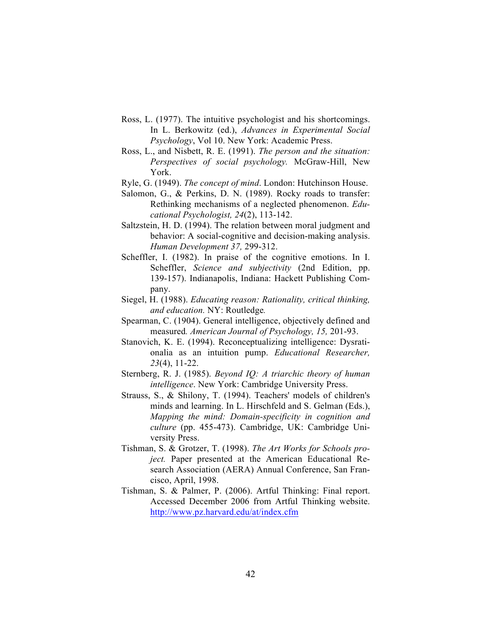- Ross, L. (1977). The intuitive psychologist and his shortcomings. In L. Berkowitz (ed.), *Advances in Experimental Social Psychology*, Vol 10. New York: Academic Press.
- Ross, L., and Nisbett, R. E. (1991). *The person and the situation: Perspectives of social psychology.* McGraw-Hill, New York.
- Ryle, G. (1949). *The concept of mind*. London: Hutchinson House.
- Salomon, G., & Perkins, D. N. (1989). Rocky roads to transfer: Rethinking mechanisms of a neglected phenomenon. *Educational Psychologist, 24*(2), 113-142.
- Saltzstein, H. D. (1994). The relation between moral judgment and behavior: A social-cognitive and decision-making analysis. *Human Development 37,* 299-312.
- Scheffler, I. (1982). In praise of the cognitive emotions. In I. Scheffler, *Science and subjectivity* (2nd Edition, pp. 139-157). Indianapolis, Indiana: Hackett Publishing Company.
- Siegel, H. (1988). *Educating reason: Rationality, critical thinking, and education.* NY: Routledge*.*
- Spearman, C. (1904). General intelligence, objectively defined and measured*. American Journal of Psychology, 15,* 201-93.
- Stanovich, K. E. (1994). Reconceptualizing intelligence: Dysrationalia as an intuition pump. *Educational Researcher, 23*(4), 11-22.
- Sternberg, R. J. (1985). *Beyond IQ: A triarchic theory of human intelligence*. New York: Cambridge University Press.
- Strauss, S., & Shilony, T. (1994). Teachers' models of children's minds and learning. In L. Hirschfeld and S. Gelman (Eds.), *Mapping the mind: Domain-specificity in cognition and culture* (pp. 455-473). Cambridge, UK: Cambridge University Press.
- Tishman, S. & Grotzer, T. (1998). *The Art Works for Schools project.* Paper presented at the American Educational Research Association (AERA) Annual Conference, San Francisco, April, 1998.
- Tishman, S. & Palmer, P. (2006). Artful Thinking: Final report. Accessed December 2006 from Artful Thinking website. http://www.pz.harvard.edu/at/index.cfm